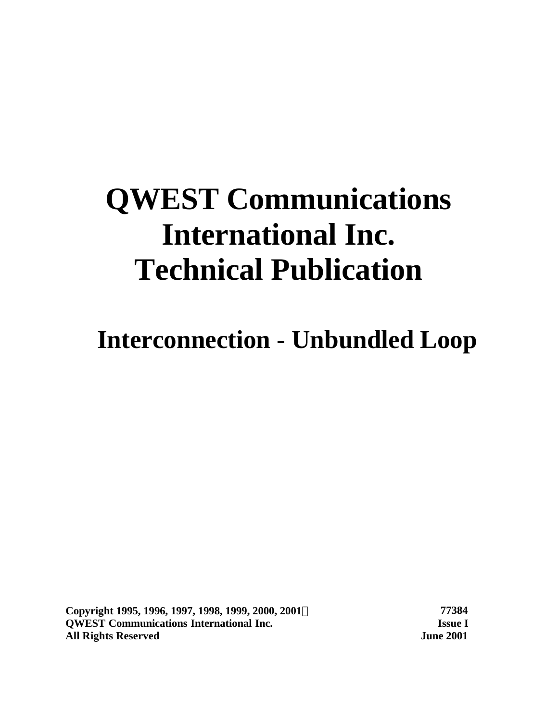# **QWEST Communications International Inc. Technical Publication**

**Interconnection - Unbundled Loop**

**Copyright 1995, 1996, 1997, 1998, 1999, 2000, 2001Ó 77384 QWEST Communications International Inc. Issue I All Rights Reserved June 2001**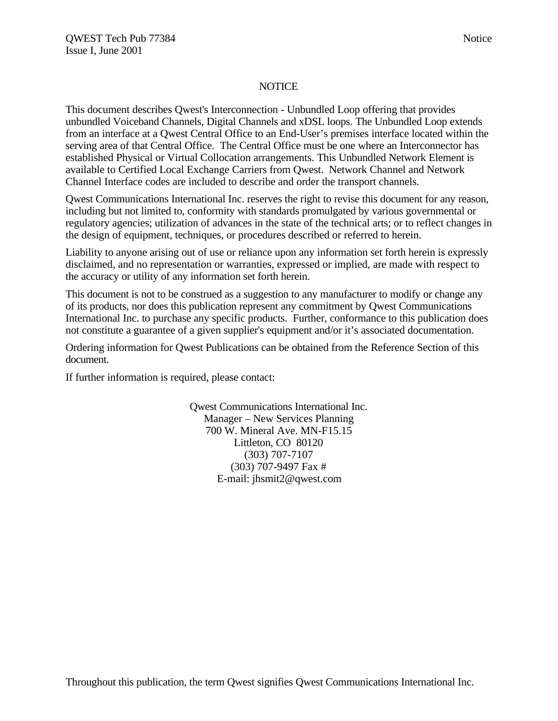#### **NOTICE**

This document describes Qwest's Interconnection - Unbundled Loop offering that provides unbundled Voiceband Channels, Digital Channels and xDSL loops. The Unbundled Loop extends from an interface at a Qwest Central Office to an End-User's premises interface located within the serving area of that Central Office. The Central Office must be one where an Interconnector has established Physical or Virtual Collocation arrangements. This Unbundled Network Element is available to Certified Local Exchange Carriers from Qwest. Network Channel and Network Channel Interface codes are included to describe and order the transport channels.

Qwest Communications International Inc. reserves the right to revise this document for any reason, including but not limited to, conformity with standards promulgated by various governmental or regulatory agencies; utilization of advances in the state of the technical arts; or to reflect changes in the design of equipment, techniques, or procedures described or referred to herein.

Liability to anyone arising out of use or reliance upon any information set forth herein is expressly disclaimed, and no representation or warranties, expressed or implied, are made with respect to the accuracy or utility of any information set forth herein.

This document is not to be construed as a suggestion to any manufacturer to modify or change any of its products, nor does this publication represent any commitment by Qwest Communications International Inc. to purchase any specific products. Further, conformance to this publication does not constitute a guarantee of a given supplier's equipment and/or it's associated documentation.

Ordering information for Qwest Publications can be obtained from the Reference Section of this document.

If further information is required, please contact:

Qwest Communications International Inc. Manager – New Services Planning 700 W. Mineral Ave. MN-F15.15 Littleton, CO 80120 (303) 707-7107 (303) 707-9497 Fax # E-mail: jhsmit2@qwest.com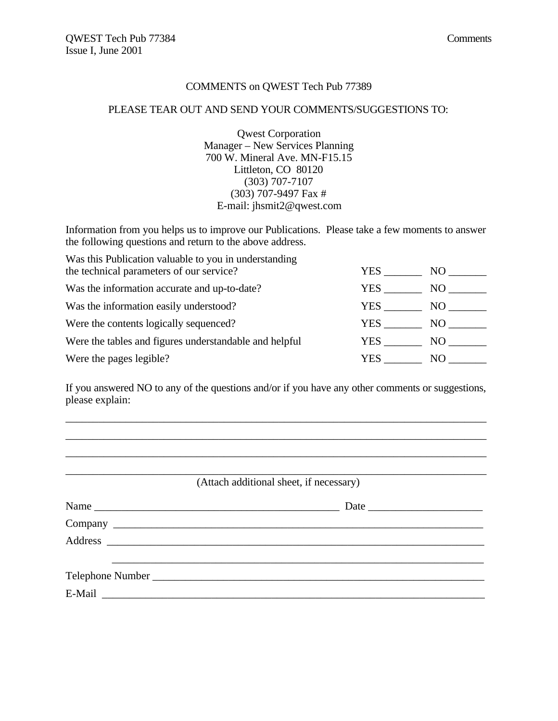#### COMMENTS on QWEST Tech Pub 77389

#### PLEASE TEAR OUT AND SEND YOUR COMMENTS/SUGGESTIONS TO:

Qwest Corporation Manager – New Services Planning 700 W. Mineral Ave. MN-F15.15 Littleton, CO 80120 (303) 707-7107 (303) 707-9497 Fax # E-mail: jhsmit2@qwest.com

Information from you helps us to improve our Publications. Please take a few moments to answer the following questions and return to the above address.

| Was this Publication valuable to you in understanding  |      |     |
|--------------------------------------------------------|------|-----|
| the technical parameters of our service?               | YES  | NO. |
| Was the information accurate and up-to-date?           | YES. | NO. |
| Was the information easily understood?                 | YES  | NO. |
| Were the contents logically sequenced?                 | YES. | NO. |
| Were the tables and figures understandable and helpful | YES. | NO. |
| Were the pages legible?                                | YES  | NO. |

If you answered NO to any of the questions and/or if you have any other comments or suggestions, please explain:

\_\_\_\_\_\_\_\_\_\_\_\_\_\_\_\_\_\_\_\_\_\_\_\_\_\_\_\_\_\_\_\_\_\_\_\_\_\_\_\_\_\_\_\_\_\_\_\_\_\_\_\_\_\_\_\_\_\_\_\_\_\_\_\_\_\_\_\_\_\_\_\_\_\_\_\_\_ \_\_\_\_\_\_\_\_\_\_\_\_\_\_\_\_\_\_\_\_\_\_\_\_\_\_\_\_\_\_\_\_\_\_\_\_\_\_\_\_\_\_\_\_\_\_\_\_\_\_\_\_\_\_\_\_\_\_\_\_\_\_\_\_\_\_\_\_\_\_\_\_\_\_\_\_\_ \_\_\_\_\_\_\_\_\_\_\_\_\_\_\_\_\_\_\_\_\_\_\_\_\_\_\_\_\_\_\_\_\_\_\_\_\_\_\_\_\_\_\_\_\_\_\_\_\_\_\_\_\_\_\_\_\_\_\_\_\_\_\_\_\_\_\_\_\_\_\_\_\_\_\_\_\_

\_\_\_\_\_\_\_\_\_\_\_\_\_\_\_\_\_\_\_\_\_\_\_\_\_\_\_\_\_\_\_\_\_\_\_\_\_\_\_\_\_\_\_\_\_\_\_\_\_\_\_\_\_\_\_\_\_\_\_\_\_\_\_\_\_\_\_\_\_\_\_\_\_\_\_\_\_ (Attach additional sheet, if necessary)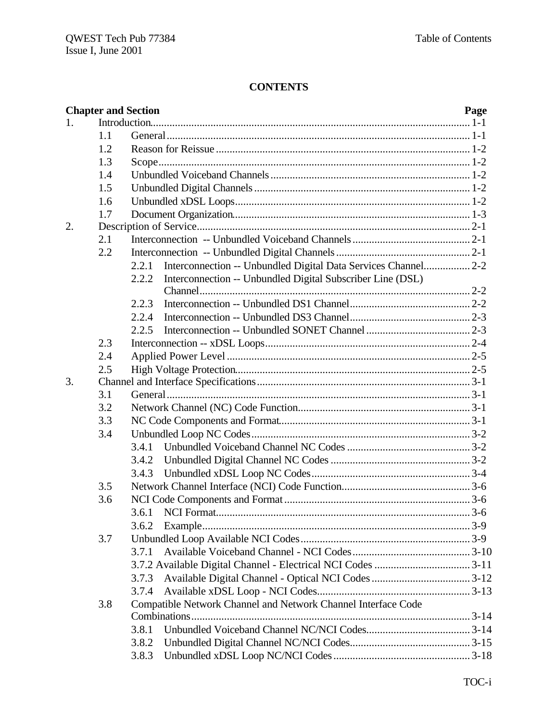# **CONTENTS**

|    |     | <b>Chapter and Section</b>                                              | Page |
|----|-----|-------------------------------------------------------------------------|------|
| 1. |     |                                                                         |      |
|    | 1.1 |                                                                         |      |
|    | 1.2 |                                                                         |      |
|    | 1.3 |                                                                         |      |
|    | 1.4 |                                                                         |      |
|    | 1.5 |                                                                         |      |
|    | 1.6 |                                                                         |      |
|    | 1.7 |                                                                         |      |
| 2. |     |                                                                         |      |
|    | 2.1 |                                                                         |      |
|    | 2.2 |                                                                         |      |
|    |     | Interconnection -- Unbundled Digital Data Services Channel 2-2<br>2.2.1 |      |
|    |     | Interconnection -- Unbundled Digital Subscriber Line (DSL)<br>2.2.2     |      |
|    |     | 2.2.3                                                                   |      |
|    |     | 2.2.4                                                                   |      |
|    |     | 2.2.5                                                                   |      |
|    | 2.3 |                                                                         |      |
|    | 2.4 |                                                                         |      |
|    | 2.5 |                                                                         |      |
| 3. |     |                                                                         |      |
|    | 3.1 |                                                                         |      |
|    | 3.2 |                                                                         |      |
|    | 3.3 |                                                                         |      |
|    | 3.4 |                                                                         |      |
|    |     | 3.4.1                                                                   |      |
|    |     |                                                                         |      |
|    |     | 3.4.3                                                                   |      |
|    | 3.5 |                                                                         |      |
|    | 3.6 |                                                                         |      |
|    |     | 3.6.1                                                                   |      |
|    |     | 3.6.2                                                                   |      |
|    | 3.7 |                                                                         |      |
|    |     | 3.7.1                                                                   |      |
|    |     |                                                                         |      |
|    |     | 3.7.3                                                                   |      |
|    |     | 3.7.4                                                                   |      |
|    | 3.8 | Compatible Network Channel and Network Channel Interface Code           |      |
|    |     | 3.8.1                                                                   |      |
|    |     | 3.8.2                                                                   |      |
|    |     | 3.8.3                                                                   |      |
|    |     |                                                                         |      |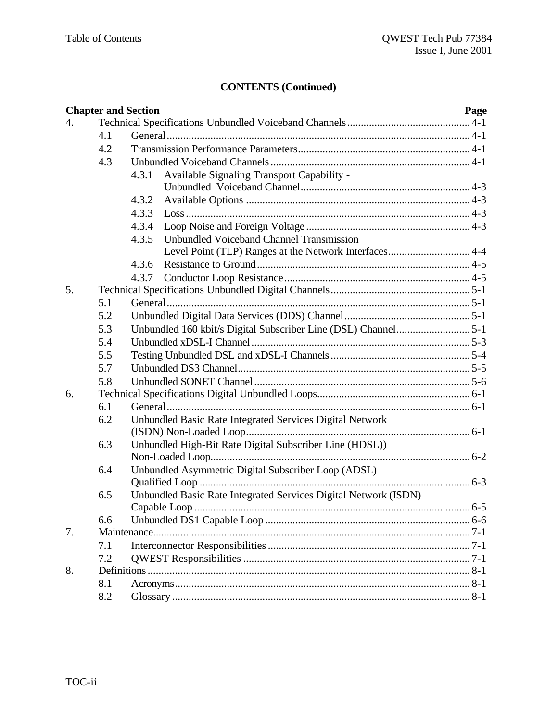|    |     | <b>Chapter and Section</b>                                      | Page |
|----|-----|-----------------------------------------------------------------|------|
| 4. |     |                                                                 |      |
|    | 4.1 |                                                                 |      |
|    | 4.2 |                                                                 |      |
|    | 4.3 |                                                                 |      |
|    |     | Available Signaling Transport Capability -<br>4.3.1             |      |
|    |     |                                                                 |      |
|    |     | 4.3.2                                                           |      |
|    |     | 4.3.3                                                           |      |
|    |     | 4.3.4                                                           |      |
|    |     | Unbundled Voiceband Channel Transmission<br>4.3.5               |      |
|    |     |                                                                 |      |
|    |     | 4.3.6                                                           |      |
|    |     | 4.3.7                                                           |      |
| 5. |     |                                                                 |      |
|    | 5.1 |                                                                 |      |
|    | 5.2 |                                                                 |      |
|    | 5.3 |                                                                 |      |
|    | 5.4 |                                                                 |      |
|    | 5.5 |                                                                 |      |
|    | 5.7 |                                                                 |      |
|    | 5.8 |                                                                 |      |
| 6. |     |                                                                 |      |
|    | 6.1 |                                                                 |      |
|    | 6.2 | Unbundled Basic Rate Integrated Services Digital Network        |      |
|    |     |                                                                 |      |
|    | 6.3 | Unbundled High-Bit Rate Digital Subscriber Line (HDSL))         |      |
|    |     |                                                                 |      |
|    | 6.4 | Unbundled Asymmetric Digital Subscriber Loop (ADSL)             |      |
|    |     |                                                                 |      |
|    | 6.5 | Unbundled Basic Rate Integrated Services Digital Network (ISDN) |      |
|    |     |                                                                 |      |
|    | 6.6 |                                                                 |      |
| 7. |     |                                                                 |      |
|    | 7.1 |                                                                 |      |
|    | 7.2 |                                                                 |      |
| 8. |     |                                                                 |      |
|    | 8.1 |                                                                 |      |
|    | 8.2 |                                                                 |      |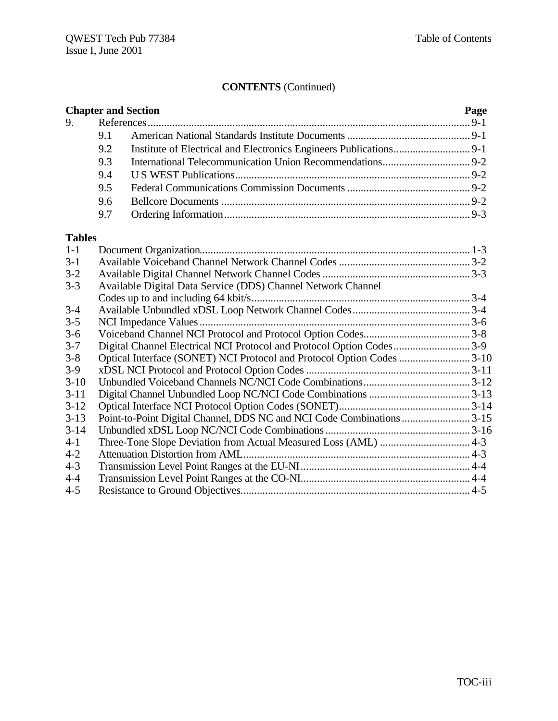| <b>Chapter and Section</b> |     |  | Page |
|----------------------------|-----|--|------|
|                            |     |  |      |
|                            | 91  |  |      |
|                            | 9.2 |  |      |
|                            | 9.3 |  |      |
|                            | 9.4 |  |      |
|                            | 9.5 |  |      |
|                            | 9.6 |  |      |
|                            | 9.7 |  |      |

#### **Tables**

| $1-1$    |                                                                       |  |
|----------|-----------------------------------------------------------------------|--|
| $3 - 1$  |                                                                       |  |
| $3 - 2$  |                                                                       |  |
| $3 - 3$  | Available Digital Data Service (DDS) Channel Network Channel          |  |
|          |                                                                       |  |
| $3-4$    |                                                                       |  |
| $3 - 5$  |                                                                       |  |
| $3-6$    |                                                                       |  |
| $3 - 7$  | Digital Channel Electrical NCI Protocol and Protocol Option Codes3-9  |  |
| $3 - 8$  | Optical Interface (SONET) NCI Protocol and Protocol Option Codes 3-10 |  |
| $3-9$    |                                                                       |  |
| $3-10$   |                                                                       |  |
| $3 - 11$ |                                                                       |  |
| $3-12$   |                                                                       |  |
| $3-13$   | Point-to-Point Digital Channel, DDS NC and NCI Code Combinations 3-15 |  |
| $3 - 14$ |                                                                       |  |
| $4 - 1$  |                                                                       |  |
| $4 - 2$  |                                                                       |  |
| $4 - 3$  |                                                                       |  |
| $4 - 4$  |                                                                       |  |
| $4 - 5$  |                                                                       |  |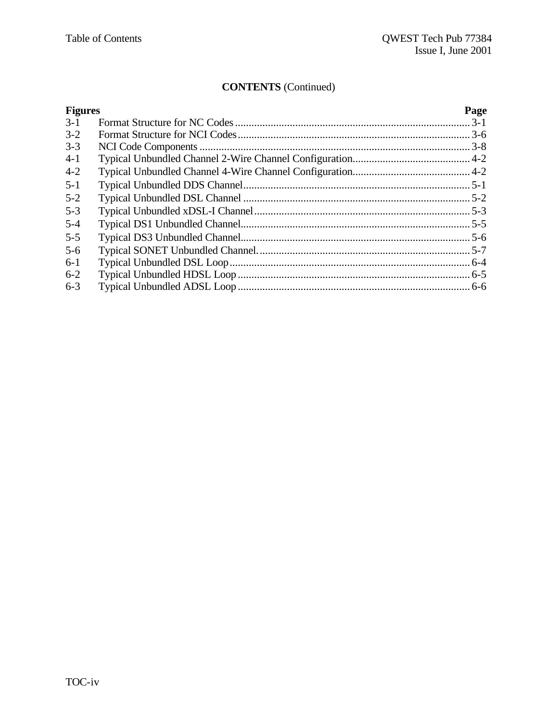| <b>Figures</b> | Page |
|----------------|------|
| $3-1$          |      |
| $3-2$          |      |
| $3 - 3$        |      |
| $4 - 1$        |      |
| $4 - 2$        |      |
| $5 - 1$        |      |
| $5 - 2$        |      |
| $5 - 3$        |      |
| $5 - 4$        |      |
| $5 - 5$        |      |
| $5 - 6$        |      |
| $6-1$          |      |
| $6 - 2$        |      |
| $6 - 3$        |      |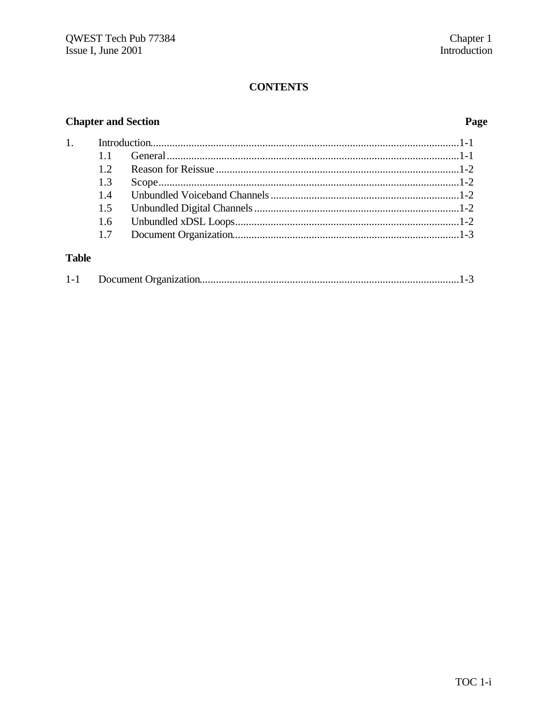# **CONTENTS**

# **Chapter and Section**

# Page

| 1.           |     |  |
|--------------|-----|--|
|              |     |  |
|              | 12  |  |
|              | 1.3 |  |
|              | 1.4 |  |
|              | 1.5 |  |
|              | 1.6 |  |
|              | 1.7 |  |
| <b>Table</b> |     |  |

| $1 - 1$ |  |  |
|---------|--|--|
|         |  |  |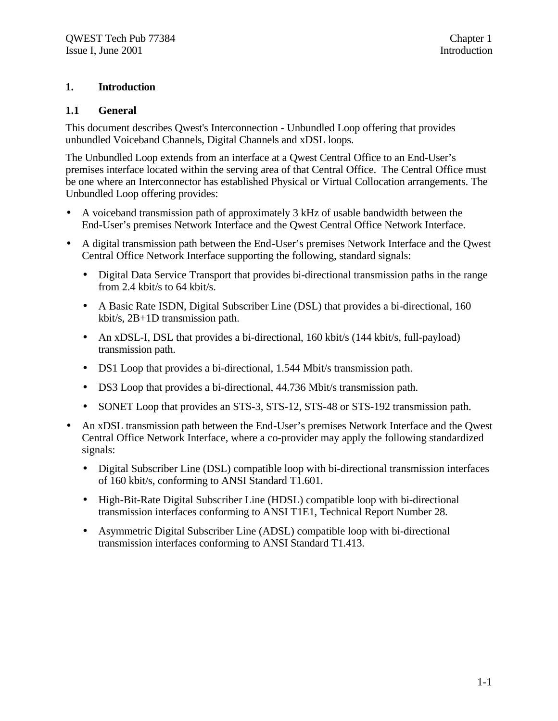#### **1. Introduction**

#### **1.1 General**

This document describes Qwest's Interconnection - Unbundled Loop offering that provides unbundled Voiceband Channels, Digital Channels and xDSL loops.

The Unbundled Loop extends from an interface at a Qwest Central Office to an End-User's premises interface located within the serving area of that Central Office. The Central Office must be one where an Interconnector has established Physical or Virtual Collocation arrangements. The Unbundled Loop offering provides:

- A voiceband transmission path of approximately 3 kHz of usable bandwidth between the End-User's premises Network Interface and the Qwest Central Office Network Interface.
- A digital transmission path between the End-User's premises Network Interface and the Qwest Central Office Network Interface supporting the following, standard signals:
	- Digital Data Service Transport that provides bi-directional transmission paths in the range from 2.4 kbit/s to 64 kbit/s.
	- A Basic Rate ISDN, Digital Subscriber Line (DSL) that provides a bi-directional, 160 kbit/s, 2B+1D transmission path.
	- An xDSL-I, DSL that provides a bi-directional, 160 kbit/s (144 kbit/s, full-payload) transmission path.
	- DS1 Loop that provides a bi-directional, 1.544 Mbit/s transmission path.
	- DS3 Loop that provides a bi-directional, 44.736 Mbit/s transmission path.
	- SONET Loop that provides an STS-3, STS-12, STS-48 or STS-192 transmission path.
- An xDSL transmission path between the End-User's premises Network Interface and the Qwest Central Office Network Interface, where a co-provider may apply the following standardized signals:
	- Digital Subscriber Line (DSL) compatible loop with bi-directional transmission interfaces of 160 kbit/s, conforming to ANSI Standard T1.601.
	- High-Bit-Rate Digital Subscriber Line (HDSL) compatible loop with bi-directional transmission interfaces conforming to ANSI T1E1, Technical Report Number 28.
	- Asymmetric Digital Subscriber Line (ADSL) compatible loop with bi-directional transmission interfaces conforming to ANSI Standard T1.413.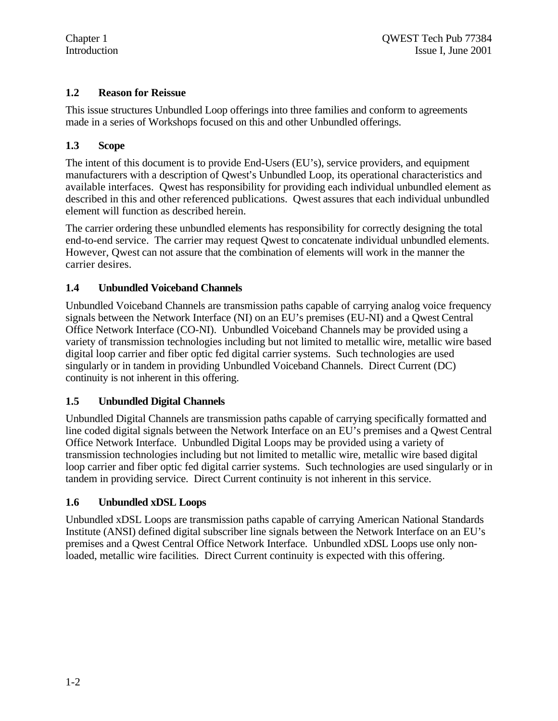### **1.2 Reason for Reissue**

This issue structures Unbundled Loop offerings into three families and conform to agreements made in a series of Workshops focused on this and other Unbundled offerings.

#### **1.3 Scope**

The intent of this document is to provide End-Users (EU's), service providers, and equipment manufacturers with a description of Qwest's Unbundled Loop, its operational characteristics and available interfaces. Qwest has responsibility for providing each individual unbundled element as described in this and other referenced publications. Qwest assures that each individual unbundled element will function as described herein.

The carrier ordering these unbundled elements has responsibility for correctly designing the total end-to-end service. The carrier may request Qwest to concatenate individual unbundled elements. However, Qwest can not assure that the combination of elements will work in the manner the carrier desires.

#### **1.4 Unbundled Voiceband Channels**

Unbundled Voiceband Channels are transmission paths capable of carrying analog voice frequency signals between the Network Interface (NI) on an EU's premises (EU-NI) and a Qwest Central Office Network Interface (CO-NI). Unbundled Voiceband Channels may be provided using a variety of transmission technologies including but not limited to metallic wire, metallic wire based digital loop carrier and fiber optic fed digital carrier systems. Such technologies are used singularly or in tandem in providing Unbundled Voiceband Channels. Direct Current (DC) continuity is not inherent in this offering.

#### **1.5 Unbundled Digital Channels**

Unbundled Digital Channels are transmission paths capable of carrying specifically formatted and line coded digital signals between the Network Interface on an EU's premises and a Qwest Central Office Network Interface. Unbundled Digital Loops may be provided using a variety of transmission technologies including but not limited to metallic wire, metallic wire based digital loop carrier and fiber optic fed digital carrier systems. Such technologies are used singularly or in tandem in providing service. Direct Current continuity is not inherent in this service.

#### **1.6 Unbundled xDSL Loops**

Unbundled xDSL Loops are transmission paths capable of carrying American National Standards Institute (ANSI) defined digital subscriber line signals between the Network Interface on an EU's premises and a Qwest Central Office Network Interface. Unbundled xDSL Loops use only nonloaded, metallic wire facilities. Direct Current continuity is expected with this offering.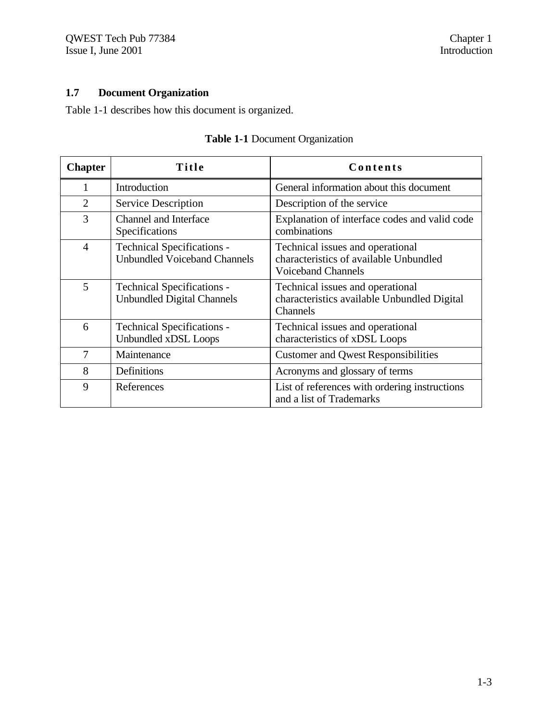# **1.7 Document Organization**

Table 1-1 describes how this document is organized.

| <b>Chapter</b> | Title                                                                    | Contents                                                                                                |
|----------------|--------------------------------------------------------------------------|---------------------------------------------------------------------------------------------------------|
| 1              | Introduction                                                             | General information about this document                                                                 |
| $\overline{2}$ | Service Description                                                      | Description of the service                                                                              |
| 3              | Channel and Interface<br>Specifications                                  | Explanation of interface codes and valid code<br>combinations                                           |
| $\overline{4}$ | <b>Technical Specifications -</b><br><b>Unbundled Voiceband Channels</b> | Technical issues and operational<br>characteristics of available Unbundled<br><b>Voiceband Channels</b> |
| 5              | <b>Technical Specifications -</b><br><b>Unbundled Digital Channels</b>   | Technical issues and operational<br>characteristics available Unbundled Digital<br>Channels             |
| 6              | <b>Technical Specifications -</b><br>Unbundled xDSL Loops                | Technical issues and operational<br>characteristics of xDSL Loops                                       |
| 7              | Maintenance                                                              | <b>Customer and Qwest Responsibilities</b>                                                              |
| 8              | Definitions                                                              | Acronyms and glossary of terms                                                                          |
| 9              | References                                                               | List of references with ordering instructions<br>and a list of Trademarks                               |

#### **Table 1-1** Document Organization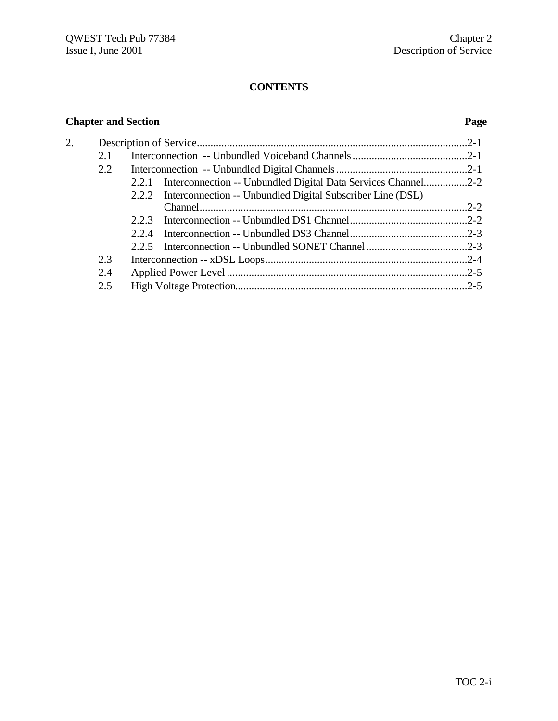# **CONTENTS**

# **Chapter and Section Page**

| 2. |     |                                                                     |  |
|----|-----|---------------------------------------------------------------------|--|
|    | 2.1 |                                                                     |  |
|    | 2.2 |                                                                     |  |
|    |     | 2.2.1 Interconnection -- Unbundled Digital Data Services Channel2-2 |  |
|    |     | 2.2.2 Interconnection -- Unbundled Digital Subscriber Line (DSL)    |  |
|    |     |                                                                     |  |
|    |     | 2.2.3                                                               |  |
|    |     | 2.2.4                                                               |  |
|    |     |                                                                     |  |
|    | 2.3 |                                                                     |  |
|    | 2.4 |                                                                     |  |
|    | 2.5 |                                                                     |  |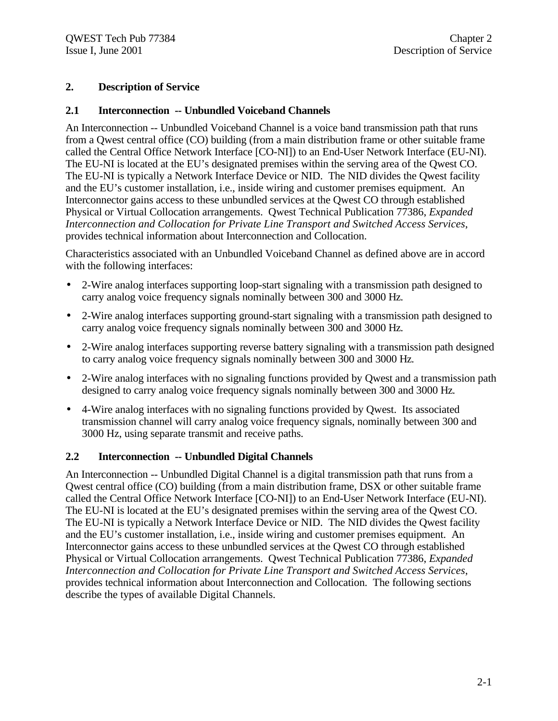#### **2. Description of Service**

#### **2.1 Interconnection -- Unbundled Voiceband Channels**

An Interconnection -- Unbundled Voiceband Channel is a voice band transmission path that runs from a Qwest central office (CO) building (from a main distribution frame or other suitable frame called the Central Office Network Interface [CO-NI]) to an End-User Network Interface (EU-NI). The EU-NI is located at the EU's designated premises within the serving area of the Qwest CO. The EU-NI is typically a Network Interface Device or NID. The NID divides the Qwest facility and the EU's customer installation, i.e., inside wiring and customer premises equipment. An Interconnector gains access to these unbundled services at the Qwest CO through established Physical or Virtual Collocation arrangements. Qwest Technical Publication 77386, *Expanded Interconnection and Collocation for Private Line Transport and Switched Access Services*, provides technical information about Interconnection and Collocation.

Characteristics associated with an Unbundled Voiceband Channel as defined above are in accord with the following interfaces:

- 2-Wire analog interfaces supporting loop-start signaling with a transmission path designed to carry analog voice frequency signals nominally between 300 and 3000 Hz.
- 2-Wire analog interfaces supporting ground-start signaling with a transmission path designed to carry analog voice frequency signals nominally between 300 and 3000 Hz.
- 2-Wire analog interfaces supporting reverse battery signaling with a transmission path designed to carry analog voice frequency signals nominally between 300 and 3000 Hz.
- 2-Wire analog interfaces with no signaling functions provided by Qwest and a transmission path designed to carry analog voice frequency signals nominally between 300 and 3000 Hz.
- 4-Wire analog interfaces with no signaling functions provided by Qwest. Its associated transmission channel will carry analog voice frequency signals, nominally between 300 and 3000 Hz, using separate transmit and receive paths.

#### **2.2 Interconnection -- Unbundled Digital Channels**

An Interconnection -- Unbundled Digital Channel is a digital transmission path that runs from a Qwest central office (CO) building (from a main distribution frame, DSX or other suitable frame called the Central Office Network Interface [CO-NI]) to an End-User Network Interface (EU-NI). The EU-NI is located at the EU's designated premises within the serving area of the Qwest CO. The EU-NI is typically a Network Interface Device or NID. The NID divides the Qwest facility and the EU's customer installation, i.e., inside wiring and customer premises equipment. An Interconnector gains access to these unbundled services at the Qwest CO through established Physical or Virtual Collocation arrangements. Qwest Technical Publication 77386, *Expanded Interconnection and Collocation for Private Line Transport and Switched Access Services*, provides technical information about Interconnection and Collocation. The following sections describe the types of available Digital Channels.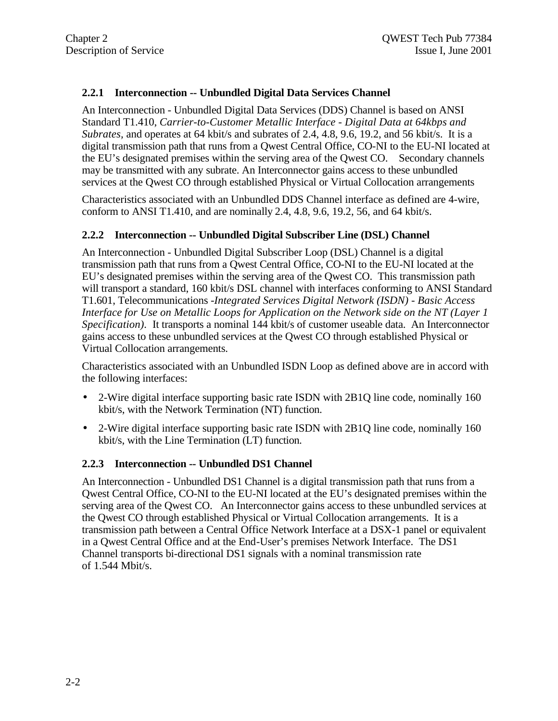#### **2.2.1 Interconnection -- Unbundled Digital Data Services Channel**

An Interconnection - Unbundled Digital Data Services (DDS) Channel is based on ANSI Standard T1.410, *Carrier-to-Customer Metallic Interface - Digital Data at 64kbps and Subrates,* and operates at 64 kbit/s and subrates of 2.4, 4.8, 9.6, 19.2, and 56 kbit/s. It is a digital transmission path that runs from a Qwest Central Office, CO-NI to the EU-NI located at the EU's designated premises within the serving area of the Qwest CO. Secondary channels may be transmitted with any subrate. An Interconnector gains access to these unbundled services at the Qwest CO through established Physical or Virtual Collocation arrangements

Characteristics associated with an Unbundled DDS Channel interface as defined are 4-wire, conform to ANSI T1.410, and are nominally 2.4, 4.8, 9.6, 19.2, 56, and 64 kbit/s.

#### **2.2.2 Interconnection -- Unbundled Digital Subscriber Line (DSL) Channel**

An Interconnection - Unbundled Digital Subscriber Loop (DSL) Channel is a digital transmission path that runs from a Qwest Central Office, CO-NI to the EU-NI located at the EU's designated premises within the serving area of the Qwest CO. This transmission path will transport a standard, 160 kbit/s DSL channel with interfaces conforming to ANSI Standard T1.601, Telecommunications -*Integrated Services Digital Network (ISDN) - Basic Access Interface for Use on Metallic Loops for Application on the Network side on the NT (Layer 1 Specification).* It transports a nominal 144 kbit/s of customer useable data. An Interconnector gains access to these unbundled services at the Qwest CO through established Physical or Virtual Collocation arrangements.

Characteristics associated with an Unbundled ISDN Loop as defined above are in accord with the following interfaces:

- 2-Wire digital interface supporting basic rate ISDN with 2B1Q line code, nominally 160 kbit/s, with the Network Termination (NT) function.
- 2-Wire digital interface supporting basic rate ISDN with 2B1Q line code, nominally 160 kbit/s, with the Line Termination (LT) function.

#### **2.2.3 Interconnection -- Unbundled DS1 Channel**

An Interconnection - Unbundled DS1 Channel is a digital transmission path that runs from a Qwest Central Office, CO-NI to the EU-NI located at the EU's designated premises within the serving area of the Qwest CO. An Interconnector gains access to these unbundled services at the Qwest CO through established Physical or Virtual Collocation arrangements. It is a transmission path between a Central Office Network Interface at a DSX-1 panel or equivalent in a Qwest Central Office and at the End-User's premises Network Interface. The DS1 Channel transports bi-directional DS1 signals with a nominal transmission rate of 1.544 Mbit/s.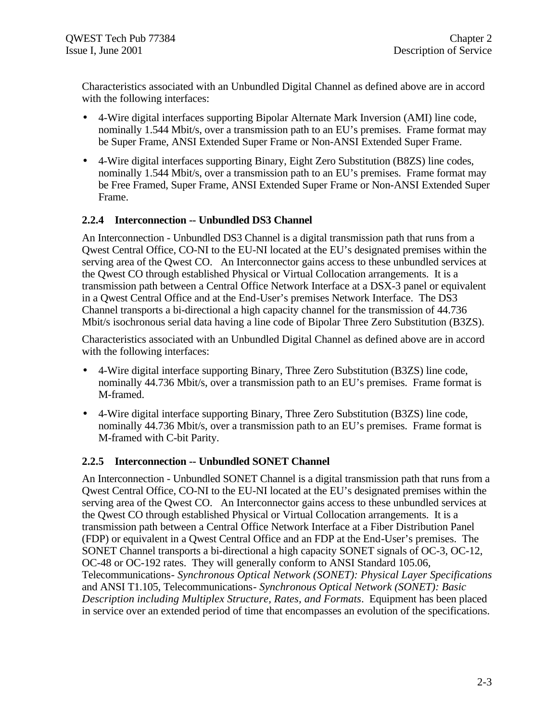Characteristics associated with an Unbundled Digital Channel as defined above are in accord with the following interfaces:

- 4-Wire digital interfaces supporting Bipolar Alternate Mark Inversion (AMI) line code, nominally 1.544 Mbit/s, over a transmission path to an EU's premises. Frame format may be Super Frame, ANSI Extended Super Frame or Non-ANSI Extended Super Frame.
- 4-Wire digital interfaces supporting Binary, Eight Zero Substitution (B8ZS) line codes, nominally 1.544 Mbit/s, over a transmission path to an EU's premises. Frame format may be Free Framed, Super Frame, ANSI Extended Super Frame or Non-ANSI Extended Super Frame.

#### **2.2.4 Interconnection -- Unbundled DS3 Channel**

An Interconnection - Unbundled DS3 Channel is a digital transmission path that runs from a Qwest Central Office, CO-NI to the EU-NI located at the EU's designated premises within the serving area of the Qwest CO. An Interconnector gains access to these unbundled services at the Qwest CO through established Physical or Virtual Collocation arrangements. It is a transmission path between a Central Office Network Interface at a DSX-3 panel or equivalent in a Qwest Central Office and at the End-User's premises Network Interface. The DS3 Channel transports a bi-directional a high capacity channel for the transmission of 44.736 Mbit/s isochronous serial data having a line code of Bipolar Three Zero Substitution (B3ZS).

Characteristics associated with an Unbundled Digital Channel as defined above are in accord with the following interfaces:

- 4-Wire digital interface supporting Binary, Three Zero Substitution (B3ZS) line code, nominally 44.736 Mbit/s, over a transmission path to an EU's premises. Frame format is M-framed.
- 4-Wire digital interface supporting Binary, Three Zero Substitution (B3ZS) line code, nominally 44.736 Mbit/s, over a transmission path to an EU's premises. Frame format is M-framed with C-bit Parity.

#### **2.2.5 Interconnection -- Unbundled SONET Channel**

An Interconnection - Unbundled SONET Channel is a digital transmission path that runs from a Qwest Central Office, CO-NI to the EU-NI located at the EU's designated premises within the serving area of the Qwest CO. An Interconnector gains access to these unbundled services at the Qwest CO through established Physical or Virtual Collocation arrangements. It is a transmission path between a Central Office Network Interface at a Fiber Distribution Panel (FDP) or equivalent in a Qwest Central Office and an FDP at the End-User's premises. The SONET Channel transports a bi-directional a high capacity SONET signals of OC-3, OC-12, OC-48 or OC-192 rates. They will generally conform to ANSI Standard 105.06, Telecommunications*- Synchronous Optical Network (SONET): Physical Layer Specifications* and ANSI T1.105, Telecommunications*- Synchronous Optical Network (SONET): Basic Description including Multiplex Structure, Rates, and Formats*. Equipment has been placed in service over an extended period of time that encompasses an evolution of the specifications.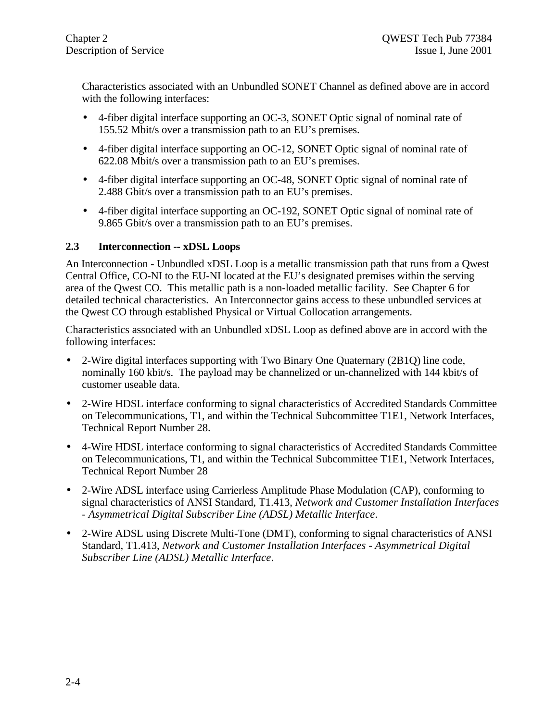Characteristics associated with an Unbundled SONET Channel as defined above are in accord with the following interfaces:

- 4-fiber digital interface supporting an OC-3, SONET Optic signal of nominal rate of 155.52 Mbit/s over a transmission path to an EU's premises.
- 4-fiber digital interface supporting an OC-12, SONET Optic signal of nominal rate of 622.08 Mbit/s over a transmission path to an EU's premises.
- 4-fiber digital interface supporting an OC-48, SONET Optic signal of nominal rate of 2.488 Gbit/s over a transmission path to an EU's premises.
- 4-fiber digital interface supporting an OC-192, SONET Optic signal of nominal rate of 9.865 Gbit/s over a transmission path to an EU's premises.

#### **2.3 Interconnection -- xDSL Loops**

An Interconnection - Unbundled xDSL Loop is a metallic transmission path that runs from a Qwest Central Office, CO-NI to the EU-NI located at the EU's designated premises within the serving area of the Qwest CO. This metallic path is a non-loaded metallic facility. See Chapter 6 for detailed technical characteristics. An Interconnector gains access to these unbundled services at the Qwest CO through established Physical or Virtual Collocation arrangements.

Characteristics associated with an Unbundled xDSL Loop as defined above are in accord with the following interfaces:

- 2-Wire digital interfaces supporting with Two Binary One Quaternary (2B1Q) line code, nominally 160 kbit/s. The payload may be channelized or un-channelized with 144 kbit/s of customer useable data.
- 2-Wire HDSL interface conforming to signal characteristics of Accredited Standards Committee on Telecommunications, T1, and within the Technical Subcommittee T1E1, Network Interfaces, Technical Report Number 28.
- 4-Wire HDSL interface conforming to signal characteristics of Accredited Standards Committee on Telecommunications, T1, and within the Technical Subcommittee T1E1, Network Interfaces, Technical Report Number 28
- 2-Wire ADSL interface using Carrierless Amplitude Phase Modulation (CAP), conforming to signal characteristics of ANSI Standard, T1.413, *Network and Customer Installation Interfaces - Asymmetrical Digital Subscriber Line (ADSL) Metallic Interface*.
- 2-Wire ADSL using Discrete Multi-Tone (DMT), conforming to signal characteristics of ANSI Standard, T1.413, *Network and Customer Installation Interfaces - Asymmetrical Digital Subscriber Line (ADSL) Metallic Interface*.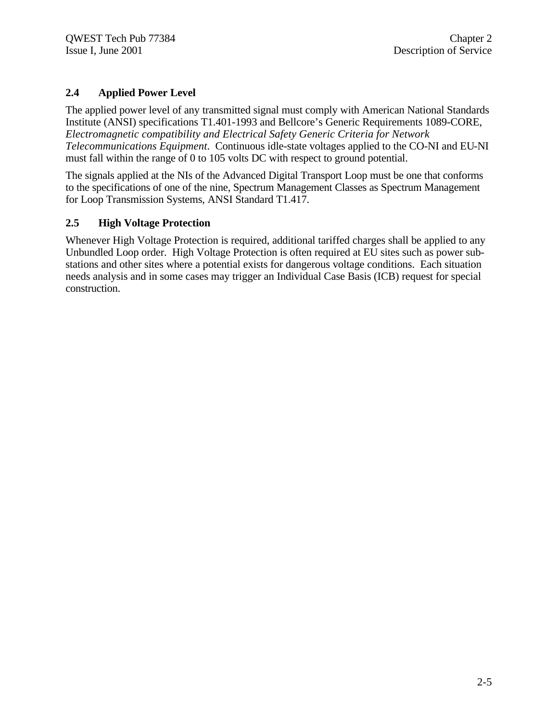# **2.4 Applied Power Level**

The applied power level of any transmitted signal must comply with American National Standards Institute (ANSI) specifications T1.401-1993 and Bellcore's Generic Requirements 1089-CORE, *Electromagnetic compatibility and Electrical Safety Generic Criteria for Network Telecommunications Equipment*. Continuous idle-state voltages applied to the CO-NI and EU-NI must fall within the range of 0 to 105 volts DC with respect to ground potential.

The signals applied at the NIs of the Advanced Digital Transport Loop must be one that conforms to the specifications of one of the nine, Spectrum Management Classes as Spectrum Management for Loop Transmission Systems, ANSI Standard T1.417.

#### **2.5 High Voltage Protection**

Whenever High Voltage Protection is required, additional tariffed charges shall be applied to any Unbundled Loop order. High Voltage Protection is often required at EU sites such as power substations and other sites where a potential exists for dangerous voltage conditions. Each situation needs analysis and in some cases may trigger an Individual Case Basis (ICB) request for special construction.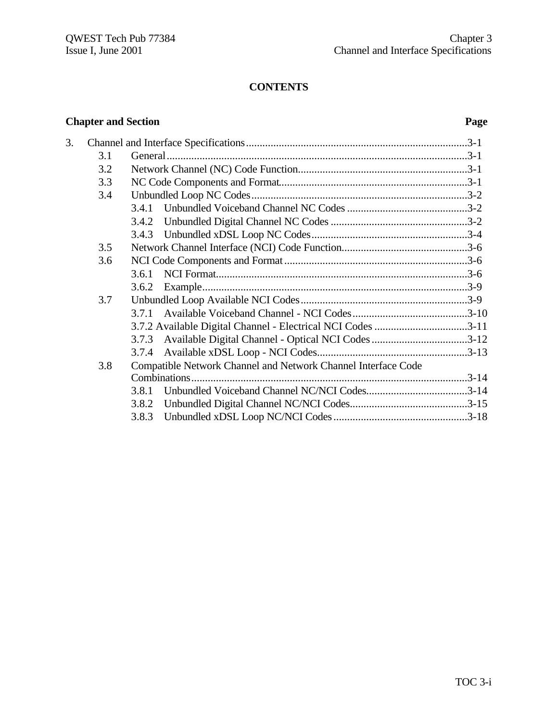# **CONTENTS**

# **Chapter and Section Page**

| 3. |     |                                                               |  |
|----|-----|---------------------------------------------------------------|--|
|    | 3.1 |                                                               |  |
|    | 3.2 |                                                               |  |
|    | 3.3 |                                                               |  |
|    | 3.4 |                                                               |  |
|    |     | 3.4.1                                                         |  |
|    |     |                                                               |  |
|    |     |                                                               |  |
|    | 3.5 |                                                               |  |
|    | 3.6 |                                                               |  |
|    |     | 3.6.1                                                         |  |
|    |     | 3.6.2                                                         |  |
|    | 3.7 |                                                               |  |
|    |     |                                                               |  |
|    |     | 3.7.2 Available Digital Channel - Electrical NCI Codes 3-11   |  |
|    |     | Available Digital Channel - Optical NCI Codes 3-12<br>3.7.3   |  |
|    |     |                                                               |  |
|    | 3.8 | Compatible Network Channel and Network Channel Interface Code |  |
|    |     | Combinations.                                                 |  |
|    |     | 3.8.1                                                         |  |
|    |     | 3.8.2                                                         |  |
|    |     | 3.8.3                                                         |  |
|    |     |                                                               |  |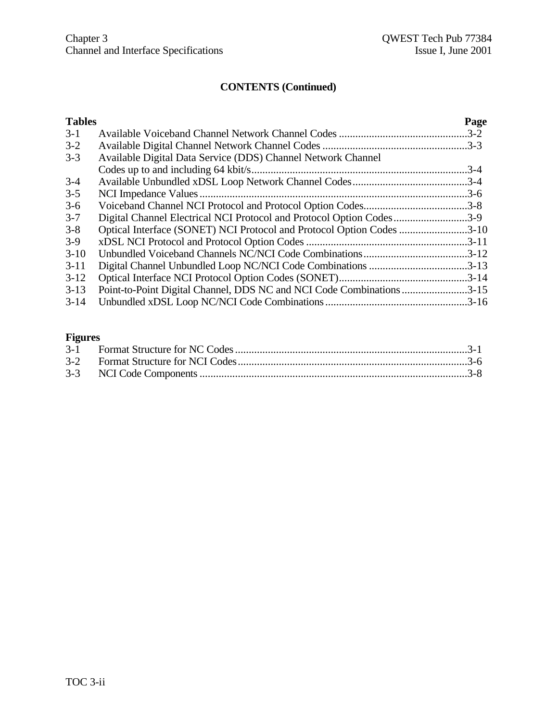| <b>Tables</b> |                                                                       | Page     |
|---------------|-----------------------------------------------------------------------|----------|
| $3-1$         |                                                                       |          |
| $3 - 2$       |                                                                       |          |
| $3 - 3$       | Available Digital Data Service (DDS) Channel Network Channel          |          |
|               |                                                                       | $.3 - 4$ |
| $3-4$         |                                                                       |          |
| $3 - 5$       |                                                                       |          |
| $3 - 6$       |                                                                       |          |
| $3 - 7$       | Digital Channel Electrical NCI Protocol and Protocol Option Codes3-9  |          |
| $3 - 8$       | Optical Interface (SONET) NCI Protocol and Protocol Option Codes 3-10 |          |
| $3-9$         |                                                                       |          |
| $3-10$        |                                                                       |          |
| $3-11$        | Digital Channel Unbundled Loop NC/NCI Code Combinations 3-13          |          |
| $3-12$        |                                                                       |          |
| $3-13$        | Point-to-Point Digital Channel, DDS NC and NCI Code Combinations 3-15 |          |
| $3-14$        |                                                                       |          |
|               |                                                                       |          |

# **Figures**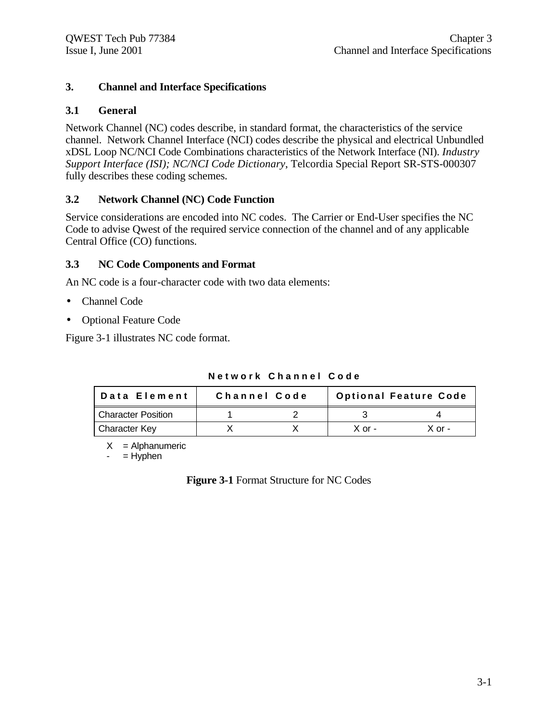### **3. Channel and Interface Specifications**

#### **3.1 General**

Network Channel (NC) codes describe, in standard format, the characteristics of the service channel. Network Channel Interface (NCI) codes describe the physical and electrical Unbundled xDSL Loop NC/NCI Code Combinations characteristics of the Network Interface (NI). *Industry Support Interface (ISI); NC/NCI Code Dictionary*, Telcordia Special Report SR-STS-000307 fully describes these coding schemes.

#### **3.2 Network Channel (NC) Code Function**

Service considerations are encoded into NC codes. The Carrier or End-User specifies the NC Code to advise Qwest of the required service connection of the channel and of any applicable Central Office (CO) functions.

#### **3.3 NC Code Components and Format**

An NC code is a four-character code with two data elements:

- Channel Code
- Optional Feature Code

Figure 3-1 illustrates NC code format.

| Data Element              | Channel Code |          | <b>Optional Feature Code</b> |
|---------------------------|--------------|----------|------------------------------|
| <b>Character Position</b> |              |          |                              |
| <b>Character Key</b>      |              | $X$ or - | $X$ or -                     |

**Network Channel Code**

 $X =$  Alphanumeric

 $=$  Hyphen

**Figure 3-1** Format Structure for NC Codes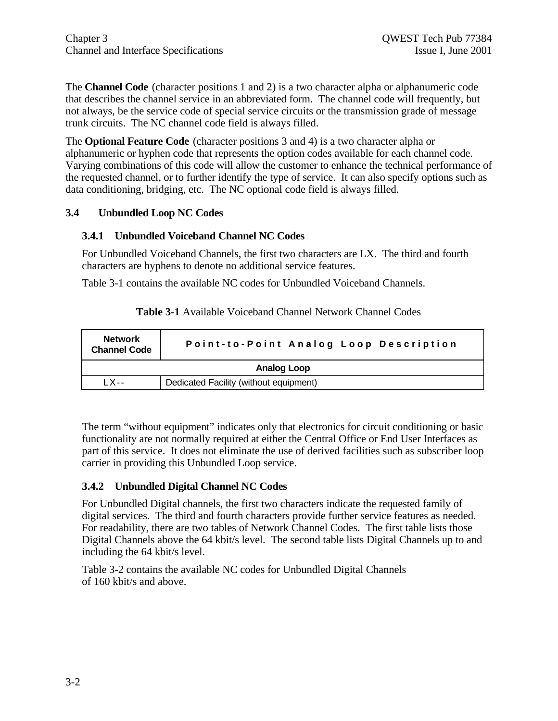The **Channel Code** (character positions 1 and 2) is a two character alpha or alphanumeric code that describes the channel service in an abbreviated form. The channel code will frequently, but not always, be the service code of special service circuits or the transmission grade of message trunk circuits. The NC channel code field is always filled.

The **Optional Feature Code** (character positions 3 and 4) is a two character alpha or alphanumeric or hyphen code that represents the option codes available for each channel code. Varying combinations of this code will allow the customer to enhance the technical performance of the requested channel, or to further identify the type of service. It can also specify options such as data conditioning, bridging, etc. The NC optional code field is always filled.

#### **3.4 Unbundled Loop NC Codes**

#### **3.4.1 Unbundled Voiceband Channel NC Codes**

For Unbundled Voiceband Channels, the first two characters are LX. The third and fourth characters are hyphens to denote no additional service features.

Table 3-1 contains the available NC codes for Unbundled Voiceband Channels.

| <b>Network</b><br><b>Channel Code</b> | Point-to-Point Analog Loop Description |  |  |  |  |  |
|---------------------------------------|----------------------------------------|--|--|--|--|--|
| Analog Loop                           |                                        |  |  |  |  |  |
| $1$ X--                               | Dedicated Facility (without equipment) |  |  |  |  |  |

| <b>Table 3-1</b> Available Voiceband Channel Network Channel Codes |  |  |  |  |
|--------------------------------------------------------------------|--|--|--|--|
|--------------------------------------------------------------------|--|--|--|--|

The term "without equipment" indicates only that electronics for circuit conditioning or basic functionality are not normally required at either the Central Office or End User Interfaces as part of this service. It does not eliminate the use of derived facilities such as subscriber loop carrier in providing this Unbundled Loop service.

#### **3.4.2 Unbundled Digital Channel NC Codes**

For Unbundled Digital channels, the first two characters indicate the requested family of digital services. The third and fourth characters provide further service features as needed. For readability, there are two tables of Network Channel Codes. The first table lists those Digital Channels above the 64 kbit/s level. The second table lists Digital Channels up to and including the 64 kbit/s level.

Table 3-2 contains the available NC codes for Unbundled Digital Channels of 160 kbit/s and above.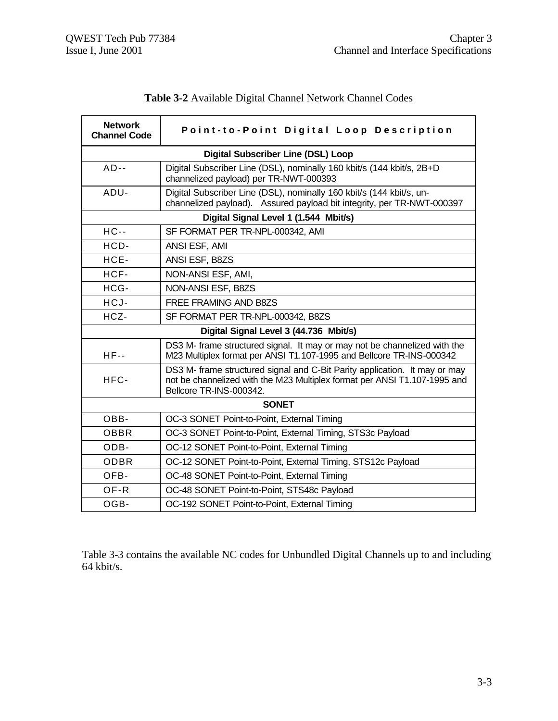| <b>Network</b><br><b>Channel Code</b> | Point-to-Point Digital Loop Description                                                                                                                                            |
|---------------------------------------|------------------------------------------------------------------------------------------------------------------------------------------------------------------------------------|
|                                       | <b>Digital Subscriber Line (DSL) Loop</b>                                                                                                                                          |
| $AD--$                                | Digital Subscriber Line (DSL), nominally 160 kbit/s (144 kbit/s, 2B+D<br>channelized payload) per TR-NWT-000393                                                                    |
| ADU-                                  | Digital Subscriber Line (DSL), nominally 160 kbit/s (144 kbit/s, un-<br>channelized payload). Assured payload bit integrity, per TR-NWT-000397                                     |
|                                       | Digital Signal Level 1 (1.544 Mbit/s)                                                                                                                                              |
| $HC -$                                | SF FORMAT PER TR-NPL-000342, AMI                                                                                                                                                   |
| HCD-                                  | ANSI ESF, AMI                                                                                                                                                                      |
| HCE-                                  | ANSI ESF, B8ZS                                                                                                                                                                     |
| HCF-                                  | NON-ANSI ESF, AMI,                                                                                                                                                                 |
| HCG-                                  | NON-ANSI ESF, B8ZS                                                                                                                                                                 |
| HCJ-                                  | FREE FRAMING AND B8ZS                                                                                                                                                              |
| HCZ-                                  | SF FORMAT PER TR-NPL-000342, B8ZS                                                                                                                                                  |
|                                       | Digital Signal Level 3 (44.736 Mbit/s)                                                                                                                                             |
| $HF-$                                 | DS3 M- frame structured signal. It may or may not be channelized with the<br>M23 Multiplex format per ANSI T1.107-1995 and Bellcore TR-INS-000342                                  |
| HFC-                                  | DS3 M- frame structured signal and C-Bit Parity application. It may or may<br>not be channelized with the M23 Multiplex format per ANSI T1.107-1995 and<br>Bellcore TR-INS-000342. |
|                                       | <b>SONET</b>                                                                                                                                                                       |
| OBB-                                  | OC-3 SONET Point-to-Point, External Timing                                                                                                                                         |
| <b>OBBR</b>                           | OC-3 SONET Point-to-Point, External Timing, STS3c Payload                                                                                                                          |
| ODB-                                  | OC-12 SONET Point-to-Point, External Timing                                                                                                                                        |
| <b>ODBR</b>                           | OC-12 SONET Point-to-Point, External Timing, STS12c Payload                                                                                                                        |
| OFB-                                  | OC-48 SONET Point-to-Point, External Timing                                                                                                                                        |
| OF-R                                  | OC-48 SONET Point-to-Point, STS48c Payload                                                                                                                                         |
| OGB-                                  | OC-192 SONET Point-to-Point, External Timing                                                                                                                                       |

| Table 3-2 Available Digital Channel Network Channel Codes |  |  |  |
|-----------------------------------------------------------|--|--|--|
|                                                           |  |  |  |

Table 3-3 contains the available NC codes for Unbundled Digital Channels up to and including 64 kbit/s.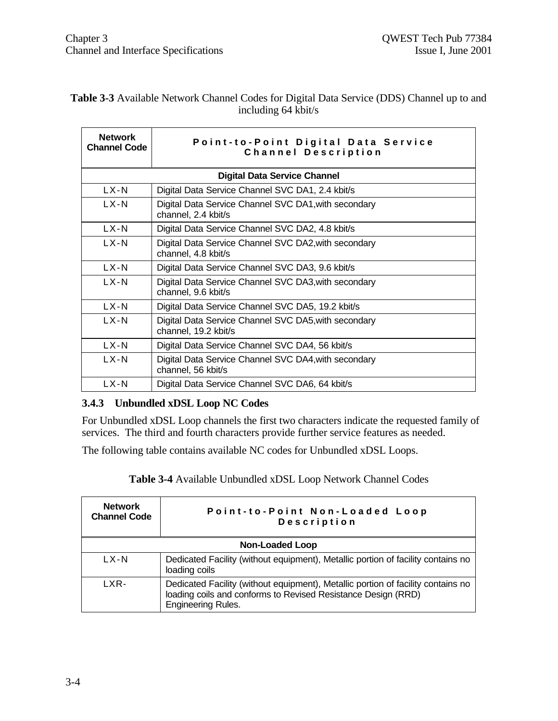| <b>Network</b><br><b>Channel Code</b> | Point-to-Point Digital Data Service<br>Channel Description                   |
|---------------------------------------|------------------------------------------------------------------------------|
|                                       | <b>Digital Data Service Channel</b>                                          |
| $LX-N$                                | Digital Data Service Channel SVC DA1, 2.4 kbit/s                             |
| LX-N                                  | Digital Data Service Channel SVC DA1, with secondary<br>channel, 2.4 kbit/s  |
| $LX-N$                                | Digital Data Service Channel SVC DA2, 4.8 kbit/s                             |
| $LX-N$                                | Digital Data Service Channel SVC DA2, with secondary<br>channel, 4.8 kbit/s  |
| LX-N                                  | Digital Data Service Channel SVC DA3, 9.6 kbit/s                             |
| $LX-N$                                | Digital Data Service Channel SVC DA3, with secondary<br>channel, 9.6 kbit/s  |
| $LX-N$                                | Digital Data Service Channel SVC DA5, 19.2 kbit/s                            |
| LX-N                                  | Digital Data Service Channel SVC DA5, with secondary<br>channel, 19.2 kbit/s |
| $LX-N$                                | Digital Data Service Channel SVC DA4, 56 kbit/s                              |
| $LX-N$                                | Digital Data Service Channel SVC DA4, with secondary<br>channel, 56 kbit/s   |
| $LX-N$                                | Digital Data Service Channel SVC DA6, 64 kbit/s                              |

#### **Table 3-3** Available Network Channel Codes for Digital Data Service (DDS) Channel up to and including 64 kbit/s

#### **3.4.3 Unbundled xDSL Loop NC Codes**

For Unbundled xDSL Loop channels the first two characters indicate the requested family of services. The third and fourth characters provide further service features as needed.

The following table contains available NC codes for Unbundled xDSL Loops.

| Table 3-4 Available Unbundled xDSL Loop Network Channel Codes |  |
|---------------------------------------------------------------|--|
|---------------------------------------------------------------|--|

| <b>Network</b><br><b>Channel Code</b> | Point-to-Point Non-Loaded Loop<br>Description                                                                                                                                  |
|---------------------------------------|--------------------------------------------------------------------------------------------------------------------------------------------------------------------------------|
|                                       | <b>Non-Loaded Loop</b>                                                                                                                                                         |
| $LX-N$                                | Dedicated Facility (without equipment), Metallic portion of facility contains no<br>loading coils                                                                              |
| LXR-                                  | Dedicated Facility (without equipment), Metallic portion of facility contains no<br>loading coils and conforms to Revised Resistance Design (RRD)<br><b>Engineering Rules.</b> |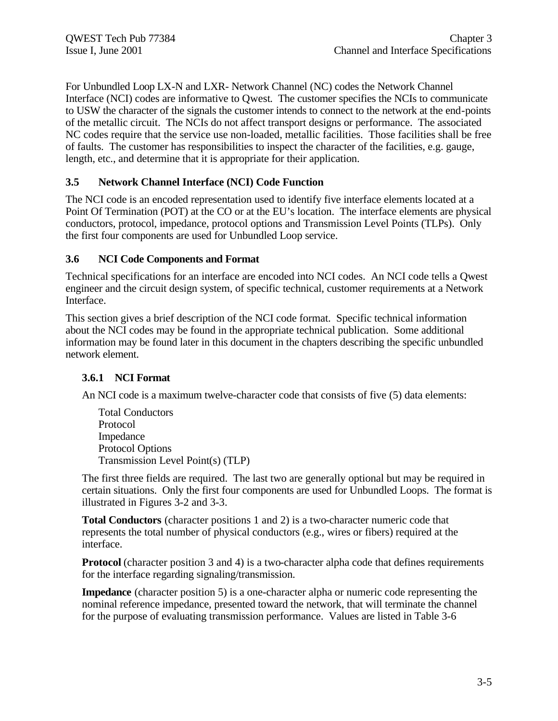For Unbundled Loop LX-N and LXR- Network Channel (NC) codes the Network Channel Interface (NCI) codes are informative to Qwest. The customer specifies the NCIs to communicate to USW the character of the signals the customer intends to connect to the network at the end-points of the metallic circuit. The NCIs do not affect transport designs or performance. The associated NC codes require that the service use non-loaded, metallic facilities. Those facilities shall be free of faults. The customer has responsibilities to inspect the character of the facilities, e.g. gauge, length, etc., and determine that it is appropriate for their application.

#### **3.5 Network Channel Interface (NCI) Code Function**

The NCI code is an encoded representation used to identify five interface elements located at a Point Of Termination (POT) at the CO or at the EU's location. The interface elements are physical conductors, protocol, impedance, protocol options and Transmission Level Points (TLPs). Only the first four components are used for Unbundled Loop service.

#### **3.6 NCI Code Components and Format**

Technical specifications for an interface are encoded into NCI codes. An NCI code tells a Qwest engineer and the circuit design system, of specific technical, customer requirements at a Network Interface.

This section gives a brief description of the NCI code format. Specific technical information about the NCI codes may be found in the appropriate technical publication. Some additional information may be found later in this document in the chapters describing the specific unbundled network element.

#### **3.6.1 NCI Format**

An NCI code is a maximum twelve-character code that consists of five (5) data elements:

Total Conductors Protocol Impedance Protocol Options Transmission Level Point(s) (TLP)

The first three fields are required. The last two are generally optional but may be required in certain situations. Only the first four components are used for Unbundled Loops. The format is illustrated in Figures 3-2 and 3-3.

**Total Conductors** (character positions 1 and 2) is a two-character numeric code that represents the total number of physical conductors (e.g., wires or fibers) required at the interface.

**Protocol** (character position 3 and 4) is a two-character alpha code that defines requirements for the interface regarding signaling/transmission.

**Impedance** (character position 5) is a one-character alpha or numeric code representing the nominal reference impedance, presented toward the network, that will terminate the channel for the purpose of evaluating transmission performance. Values are listed in Table 3-6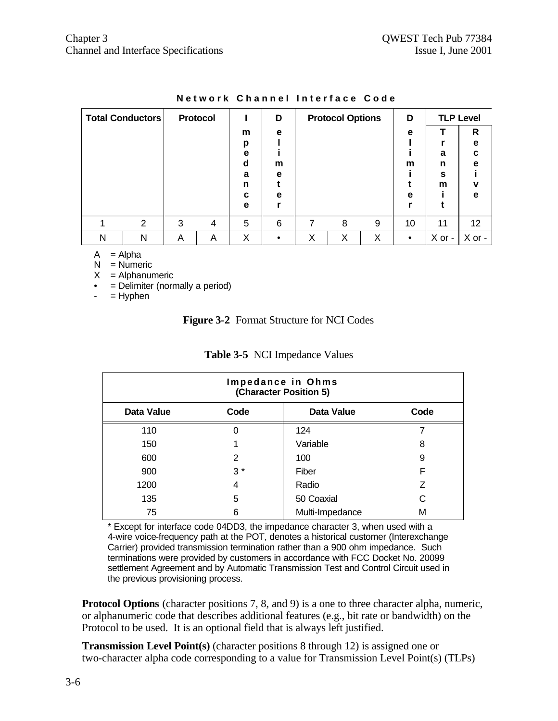|   | <b>Total Conductors</b> |   | <b>Protocol</b> |   | D |   | <b>Protocol Options</b> |   | D         |        | <b>TLP Level</b> |
|---|-------------------------|---|-----------------|---|---|---|-------------------------|---|-----------|--------|------------------|
|   |                         |   |                 | m | e |   |                         |   | e         |        | R                |
|   |                         |   |                 | р |   |   |                         |   |           |        | е                |
|   |                         |   |                 | е |   |   |                         |   |           | a      | C                |
|   |                         |   |                 | d | m |   |                         |   | m         | n      | е                |
|   |                         |   |                 | a | e |   |                         |   |           | s      |                  |
|   |                         |   |                 | n |   |   |                         |   |           | m      | v                |
|   |                         |   |                 | C | e |   |                         |   | е         |        | е                |
|   |                         |   |                 | e |   |   |                         |   |           |        |                  |
|   | 2                       | 3 | 4               | 5 | 6 | 7 | 8                       | 9 | 10        | 11     | 12 <sub>2</sub>  |
| N | Ν                       | Α | Α               | Χ |   | X | Χ                       | X | $\bullet$ | X or - | X or -           |

#### **Network Channel Interface Code**

 $A = Alpha$ 

 $N =$  Numeric

 $X =$  Alphanumeric

• = Delimiter (normally a period)

 $=$  Hyphen

#### **Figure 3-2** Format Structure for NCI Codes

| Impedance in Ohms<br>(Character Position 5) |      |                   |      |  |  |  |  |
|---------------------------------------------|------|-------------------|------|--|--|--|--|
| <b>Data Value</b>                           | Code | <b>Data Value</b> | Code |  |  |  |  |
| 110                                         | 0    | 124               |      |  |  |  |  |
| 150                                         |      | Variable          | 8    |  |  |  |  |
| 600                                         | 2    | 100               | 9    |  |  |  |  |
| 900                                         | $3*$ | Fiber             | F    |  |  |  |  |
| 1200                                        | 4    | Radio             | Z    |  |  |  |  |
| 135                                         | 5    | 50 Coaxial        | C    |  |  |  |  |
| 75                                          | 6    | Multi-Impedance   | м    |  |  |  |  |

#### **Table 3-5** NCI Impedance Values

Except for interface code 04DD3, the impedance character 3, when used with a 4-wire voice-frequency path at the POT, denotes a historical customer (Interexchange Carrier) provided transmission termination rather than a 900 ohm impedance. Such terminations were provided by customers in accordance with FCC Docket No. 20099 settlement Agreement and by Automatic Transmission Test and Control Circuit used in the previous provisioning process.

**Protocol Options** (character positions 7, 8, and 9) is a one to three character alpha, numeric, or alphanumeric code that describes additional features (e.g., bit rate or bandwidth) on the Protocol to be used. It is an optional field that is always left justified.

**Transmission Level Point(s)** (character positions 8 through 12) is assigned one or two-character alpha code corresponding to a value for Transmission Level Point(s) (TLPs)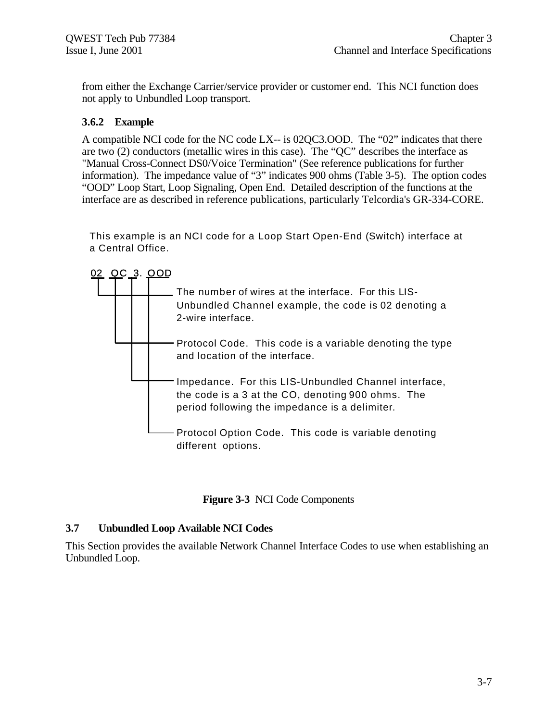from either the Exchange Carrier/service provider or customer end. This NCI function does not apply to Unbundled Loop transport.

#### **3.6.2 Example**

A compatible NCI code for the NC code LX-- is 02QC3.OOD. The "02" indicates that there are two (2) conductors (metallic wires in this case). The "QC" describes the interface as "Manual Cross-Connect DS0/Voice Termination" (See reference publications for further information). The impedance value of "3" indicates 900 ohms (Table 3-5). The option codes "OOD" Loop Start, Loop Signaling, Open End. Detailed description of the functions at the interface are as described in reference publications, particularly Telcordia's GR-334-CORE.

This example is an NCI code for a Loop Start Open-End (Switch) interface at a Central Office.



**Figure 3-3** NCI Code Components

#### **3.7 Unbundled Loop Available NCI Codes**

This Section provides the available Network Channel Interface Codes to use when establishing an Unbundled Loop.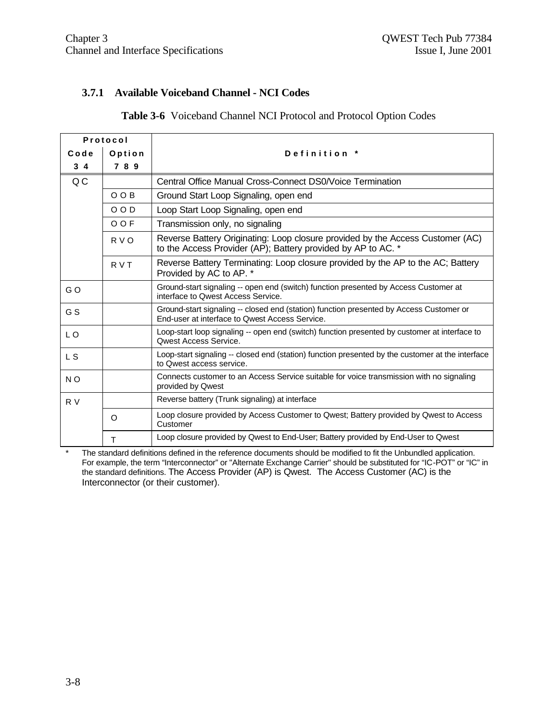#### **3.7.1 Available Voiceband Channel - NCI Codes**

#### **Table 3-6** Voiceband Channel NCI Protocol and Protocol Option Codes

| Protocol       |             |                                                                                                                                                |  |  |
|----------------|-------------|------------------------------------------------------------------------------------------------------------------------------------------------|--|--|
| Code           | Option      | Definition *                                                                                                                                   |  |  |
| $3\quad 4$     | 789         |                                                                                                                                                |  |  |
| QC             |             | Central Office Manual Cross-Connect DS0/Voice Termination                                                                                      |  |  |
|                | O O B       | Ground Start Loop Signaling, open end                                                                                                          |  |  |
|                | $O$ $O$ $D$ | Loop Start Loop Signaling, open end                                                                                                            |  |  |
|                | O O F       | Transmission only, no signaling                                                                                                                |  |  |
|                | R V O       | Reverse Battery Originating: Loop closure provided by the Access Customer (AC)<br>to the Access Provider (AP); Battery provided by AP to AC. * |  |  |
|                | R V T       | Reverse Battery Terminating: Loop closure provided by the AP to the AC; Battery<br>Provided by AC to AP. *                                     |  |  |
| GO             |             | Ground-start signaling -- open end (switch) function presented by Access Customer at<br>interface to Qwest Access Service.                     |  |  |
| G S            |             | Ground-start signaling -- closed end (station) function presented by Access Customer or<br>End-user at interface to Owest Access Service.      |  |  |
| L O            |             | Loop-start loop signaling -- open end (switch) function presented by customer at interface to<br><b>Owest Access Service.</b>                  |  |  |
| L S            |             | Loop-start signaling -- closed end (station) function presented by the customer at the interface<br>to Qwest access service.                   |  |  |
| N <sub>O</sub> |             | Connects customer to an Access Service suitable for voice transmission with no signaling<br>provided by Qwest                                  |  |  |
| R V            |             | Reverse battery (Trunk signaling) at interface                                                                                                 |  |  |
|                | $\circ$     | Loop closure provided by Access Customer to Qwest; Battery provided by Qwest to Access<br>Customer                                             |  |  |
|                | т           | Loop closure provided by Qwest to End-User; Battery provided by End-User to Qwest                                                              |  |  |

\* The standard definitions defined in the reference documents should be modified to fit the Unbundled application. For example, the term "Interconnector" or "Alternate Exchange Carrier" should be substituted for "IC-POT" or "IC" in the standard definitions. The Access Provider (AP) is Qwest. The Access Customer (AC) is the Interconnector (or their customer).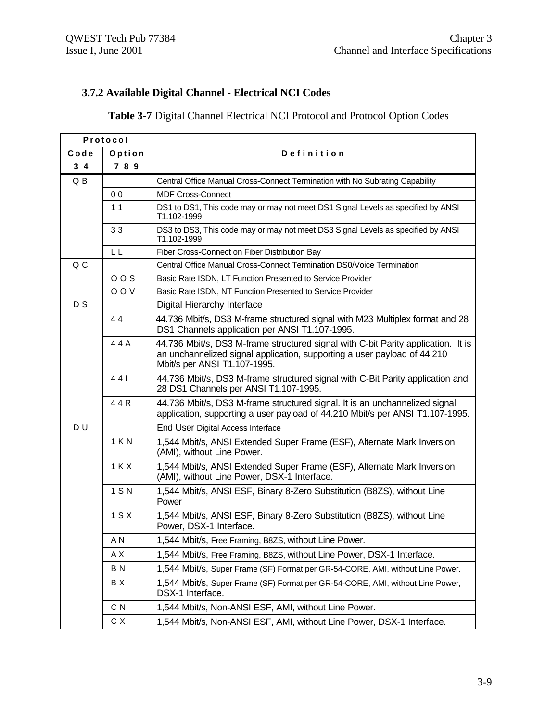# **3.7.2 Available Digital Channel - Electrical NCI Codes**

#### **Table 3-7** Digital Channel Electrical NCI Protocol and Protocol Option Codes

| Protocol       |                |                                                                                                                                                                                               |  |  |  |
|----------------|----------------|-----------------------------------------------------------------------------------------------------------------------------------------------------------------------------------------------|--|--|--|
| Code<br>Option |                | Definition                                                                                                                                                                                    |  |  |  |
| $3\quad 4$     | 7 8 9          |                                                                                                                                                                                               |  |  |  |
| Q B            |                | Central Office Manual Cross-Connect Termination with No Subrating Capability                                                                                                                  |  |  |  |
|                | 0 <sub>0</sub> | <b>MDF Cross-Connect</b>                                                                                                                                                                      |  |  |  |
|                | 1 <sub>1</sub> | DS1 to DS1, This code may or may not meet DS1 Signal Levels as specified by ANSI<br>T1.102-1999                                                                                               |  |  |  |
|                | 33             | DS3 to DS3, This code may or may not meet DS3 Signal Levels as specified by ANSI<br>T1.102-1999                                                                                               |  |  |  |
|                | LL             | Fiber Cross-Connect on Fiber Distribution Bay                                                                                                                                                 |  |  |  |
| Q C            |                | Central Office Manual Cross-Connect Termination DS0/Voice Termination                                                                                                                         |  |  |  |
|                | 00S            | Basic Rate ISDN, LT Function Presented to Service Provider                                                                                                                                    |  |  |  |
|                | O O V          | Basic Rate ISDN, NT Function Presented to Service Provider                                                                                                                                    |  |  |  |
| D <sub>S</sub> |                | Digital Hierarchy Interface                                                                                                                                                                   |  |  |  |
|                | 44             | 44.736 Mbit/s, DS3 M-frame structured signal with M23 Multiplex format and 28<br>DS1 Channels application per ANSI T1.107-1995.                                                               |  |  |  |
|                | 44A            | 44.736 Mbit/s, DS3 M-frame structured signal with C-bit Parity application. It is<br>an unchannelized signal application, supporting a user payload of 44.210<br>Mbit/s per ANSI T1.107-1995. |  |  |  |
|                | 441            | 44.736 Mbit/s, DS3 M-frame structured signal with C-Bit Parity application and<br>28 DS1 Channels per ANSI T1.107-1995.                                                                       |  |  |  |
|                | 44R            | 44.736 Mbit/s, DS3 M-frame structured signal. It is an unchannelized signal<br>application, supporting a user payload of 44.210 Mbit/s per ANSI T1.107-1995.                                  |  |  |  |
| DU             |                | End User Digital Access Interface                                                                                                                                                             |  |  |  |
|                | 1 K N          | 1,544 Mbit/s, ANSI Extended Super Frame (ESF), Alternate Mark Inversion<br>(AMI), without Line Power.                                                                                         |  |  |  |
|                | 1 K X          | 1,544 Mbit/s, ANSI Extended Super Frame (ESF), Alternate Mark Inversion<br>(AMI), without Line Power, DSX-1 Interface.                                                                        |  |  |  |
|                | 1 S N          | 1,544 Mbit/s, ANSI ESF, Binary 8-Zero Substitution (B8ZS), without Line<br>Power                                                                                                              |  |  |  |
|                | 1 S X          | 1,544 Mbit/s, ANSI ESF, Binary 8-Zero Substitution (B8ZS), without Line<br>Power, DSX-1 Interface.                                                                                            |  |  |  |
|                | A N            | 1,544 Mbit/s, Free Framing, B8ZS, without Line Power.                                                                                                                                         |  |  |  |
|                | ΑX             | 1,544 Mbit/s, Free Framing, B8ZS, without Line Power, DSX-1 Interface.                                                                                                                        |  |  |  |
|                | B N            | 1,544 Mbit/s, Super Frame (SF) Format per GR-54-CORE, AMI, without Line Power.                                                                                                                |  |  |  |
|                | B X            | 1,544 Mbit/s, Super Frame (SF) Format per GR-54-CORE, AMI, without Line Power,<br>DSX-1 Interface.                                                                                            |  |  |  |
|                | C N            | 1,544 Mbit/s, Non-ANSI ESF, AMI, without Line Power.                                                                                                                                          |  |  |  |
|                | C X            | 1,544 Mbit/s, Non-ANSI ESF, AMI, without Line Power, DSX-1 Interface.                                                                                                                         |  |  |  |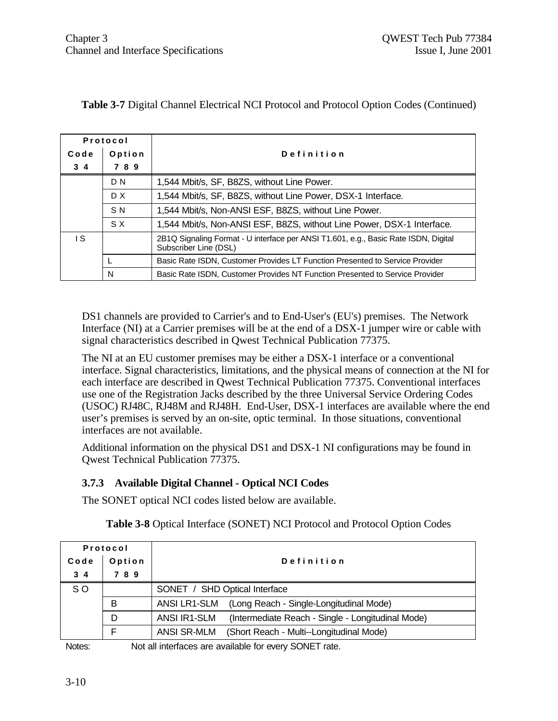| Protocol                    |                                                                               |                                                                                     |  |  |
|-----------------------------|-------------------------------------------------------------------------------|-------------------------------------------------------------------------------------|--|--|
| Code<br>Option              |                                                                               | Definition                                                                          |  |  |
| $3\overline{4}$             | 789                                                                           |                                                                                     |  |  |
|                             | D N                                                                           | 1,544 Mbit/s, SF, B8ZS, without Line Power.                                         |  |  |
|                             | D X<br>1,544 Mbit/s, SF, B8ZS, without Line Power, DSX-1 Interface.           |                                                                                     |  |  |
|                             | S <sub>N</sub>                                                                | 1,544 Mbit/s, Non-ANSI ESF, B8ZS, without Line Power.                               |  |  |
|                             | S X<br>1,544 Mbit/s, Non-ANSI ESF, B8ZS, without Line Power, DSX-1 Interface. |                                                                                     |  |  |
| ۱S<br>Subscriber Line (DSL) |                                                                               | 2B1Q Signaling Format - U interface per ANSI T1.601, e.g., Basic Rate ISDN, Digital |  |  |
|                             |                                                                               | Basic Rate ISDN, Customer Provides LT Function Presented to Service Provider        |  |  |
|                             | Basic Rate ISDN, Customer Provides NT Function Presented to Service Provider  |                                                                                     |  |  |

#### **Table 3-7** Digital Channel Electrical NCI Protocol and Protocol Option Codes (Continued)

DS1 channels are provided to Carrier's and to End-User's (EU's) premises. The Network Interface (NI) at a Carrier premises will be at the end of a DSX-1 jumper wire or cable with signal characteristics described in Qwest Technical Publication 77375.

The NI at an EU customer premises may be either a DSX-1 interface or a conventional interface. Signal characteristics, limitations, and the physical means of connection at the NI for each interface are described in Qwest Technical Publication 77375. Conventional interfaces use one of the Registration Jacks described by the three Universal Service Ordering Codes (USOC) RJ48C, RJ48M and RJ48H. End-User, DSX-1 interfaces are available where the end user's premises is served by an on-site, optic terminal. In those situations, conventional interfaces are not available.

Additional information on the physical DS1 and DSX-1 NI configurations may be found in Qwest Technical Publication 77375.

#### **3.7.3 Available Digital Channel - Optical NCI Codes**

The SONET optical NCI codes listed below are available.

| Protocol   |        |                                                                   |  |  |  |
|------------|--------|-------------------------------------------------------------------|--|--|--|
| Code       | Option | Definition                                                        |  |  |  |
| $3\quad 4$ | 789    |                                                                   |  |  |  |
| SO.        |        | SONET / SHD Optical Interface                                     |  |  |  |
|            | в      | (Long Reach - Single-Longitudinal Mode)<br>ANSI LR1-SLM           |  |  |  |
|            | D      | ANSI IR1-SLM<br>(Intermediate Reach - Single - Longitudinal Mode) |  |  |  |
|            |        | <b>ANSI SR-MLM</b><br>(Short Reach - Multi--Longitudinal Mode)    |  |  |  |

**Table 3-8** Optical Interface (SONET) NCI Protocol and Protocol Option Codes

Notes: Not all interfaces are available for every SONET rate.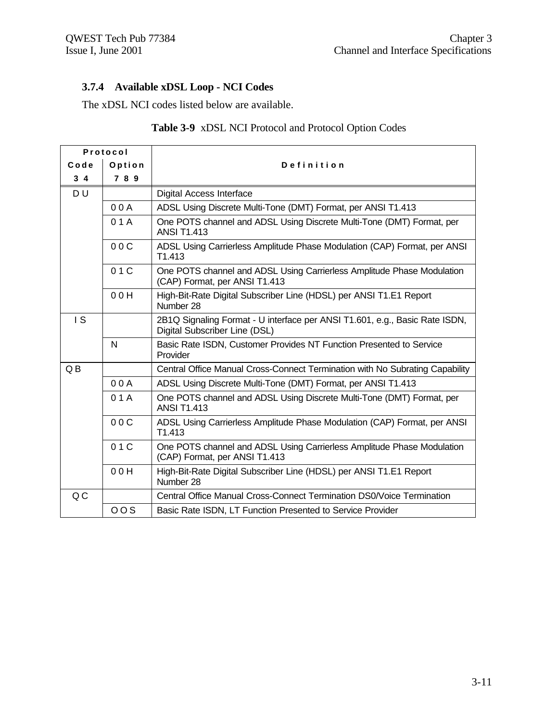# **3.7.4 Available xDSL Loop - NCI Codes**

The xDSL NCI codes listed below are available.

| Protocol         |        |                                                                                                              |  |  |  |  |
|------------------|--------|--------------------------------------------------------------------------------------------------------------|--|--|--|--|
| Code             | Option | Definition                                                                                                   |  |  |  |  |
| $3\quad 4$       | 7 8 9  |                                                                                                              |  |  |  |  |
| DU               |        | Digital Access Interface                                                                                     |  |  |  |  |
|                  | 00A    | ADSL Using Discrete Multi-Tone (DMT) Format, per ANSI T1.413                                                 |  |  |  |  |
|                  | 01A    | One POTS channel and ADSL Using Discrete Multi-Tone (DMT) Format, per<br><b>ANSI T1.413</b>                  |  |  |  |  |
|                  | 00C    | ADSL Using Carrierless Amplitude Phase Modulation (CAP) Format, per ANSI<br>T <sub>1.413</sub>               |  |  |  |  |
|                  | 01C    | One POTS channel and ADSL Using Carrierless Amplitude Phase Modulation<br>(CAP) Format, per ANSI T1.413      |  |  |  |  |
|                  | 00H    | High-Bit-Rate Digital Subscriber Line (HDSL) per ANSI T1.E1 Report<br>Number 28                              |  |  |  |  |
| $\overline{1}$ S |        | 2B1Q Signaling Format - U interface per ANSI T1.601, e.g., Basic Rate ISDN,<br>Digital Subscriber Line (DSL) |  |  |  |  |
|                  | N      | Basic Rate ISDN, Customer Provides NT Function Presented to Service<br>Provider                              |  |  |  |  |
| QB               |        | Central Office Manual Cross-Connect Termination with No Subrating Capability                                 |  |  |  |  |
|                  | 00A    | ADSL Using Discrete Multi-Tone (DMT) Format, per ANSI T1.413                                                 |  |  |  |  |
|                  | 01A    | One POTS channel and ADSL Using Discrete Multi-Tone (DMT) Format, per<br><b>ANSI T1.413</b>                  |  |  |  |  |
|                  | 00C    | ADSL Using Carrierless Amplitude Phase Modulation (CAP) Format, per ANSI<br>T1.413                           |  |  |  |  |
|                  | 01C    | One POTS channel and ADSL Using Carrierless Amplitude Phase Modulation<br>(CAP) Format, per ANSI T1.413      |  |  |  |  |
|                  | 00H    | High-Bit-Rate Digital Subscriber Line (HDSL) per ANSI T1.E1 Report<br>Number 28                              |  |  |  |  |
| QC               |        | Central Office Manual Cross-Connect Termination DS0/Voice Termination                                        |  |  |  |  |
|                  | 00S    | Basic Rate ISDN, LT Function Presented to Service Provider                                                   |  |  |  |  |

### **Table 3-9** xDSL NCI Protocol and Protocol Option Codes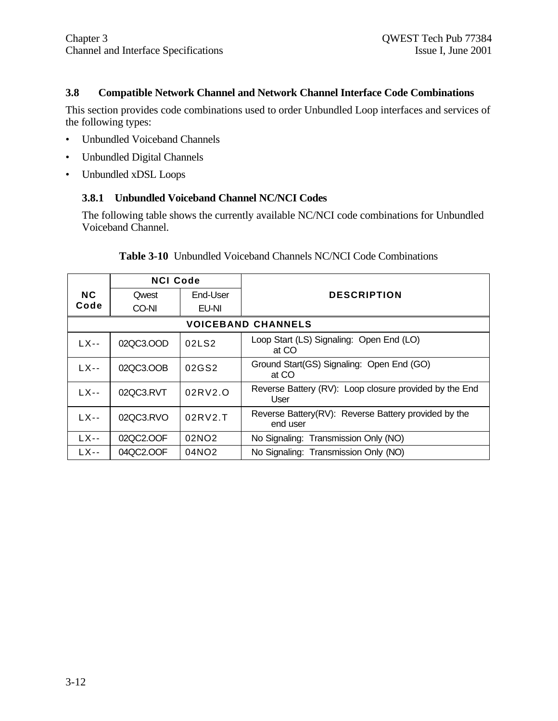#### **3.8 Compatible Network Channel and Network Channel Interface Code Combinations**

This section provides code combinations used to order Unbundled Loop interfaces and services of the following types:

- Unbundled Voiceband Channels
- Unbundled Digital Channels
- Unbundled xDSL Loops

#### **3.8.1 Unbundled Voiceband Channel NC/NCI Codes**

The following table shows the currently available NC/NCI code combinations for Unbundled Voiceband Channel.

|                           | <b>NCI Code</b> |                   |                                                                  |  |  |
|---------------------------|-----------------|-------------------|------------------------------------------------------------------|--|--|
| <b>NC</b>                 | Qwest           | End-User          | <b>DESCRIPTION</b>                                               |  |  |
| Code                      | CO-NI           | EU-NI             |                                                                  |  |  |
| <b>VOICEBAND CHANNELS</b> |                 |                   |                                                                  |  |  |
| $LX$ --                   | 02QC3.OOD       | 02LS2             | Loop Start (LS) Signaling: Open End (LO)<br>at CO                |  |  |
| LX--                      | 02QC3.OOB       | 02GS2             | Ground Start(GS) Signaling: Open End (GO)<br>at CO               |  |  |
| $LX$ --                   | 02QC3.RVT       | 02RV2.O           | Reverse Battery (RV): Loop closure provided by the End<br>User   |  |  |
| $LX$ --                   | 02QC3.RVO       | 02RV2.T           | Reverse Battery(RV): Reverse Battery provided by the<br>end user |  |  |
| LX--                      | 02QC2.OOF       | 02NO <sub>2</sub> | No Signaling: Transmission Only (NO)                             |  |  |
| $LX$ --                   | 04QC2.OOF       | 04NO <sub>2</sub> | No Signaling: Transmission Only (NO)                             |  |  |

#### **Table 3-10** Unbundled Voiceband Channels NC/NCI Code Combinations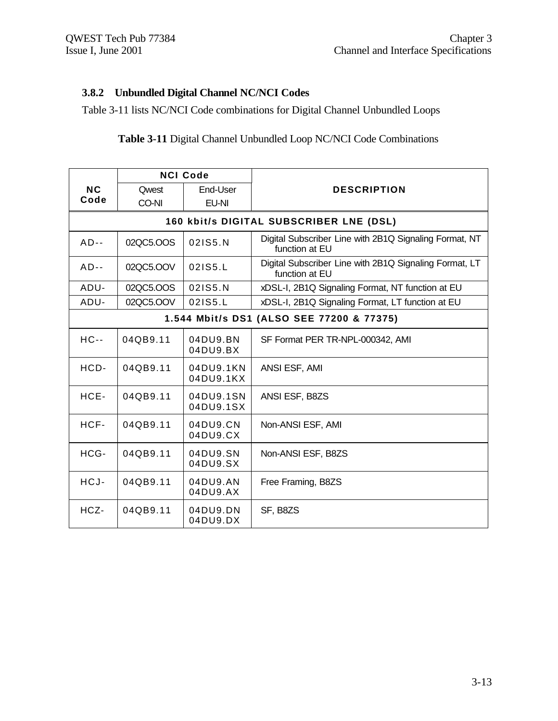## **3.8.2 Unbundled Digital Channel NC/NCI Codes**

Table 3-11 lists NC/NCI Code combinations for Digital Channel Unbundled Loops

#### **Table 3-11** Digital Channel Unbundled Loop NC/NCI Code Combinations

|                   |           | <b>NCI Code</b>        |                                                                          |  |
|-------------------|-----------|------------------------|--------------------------------------------------------------------------|--|
| <b>NC</b><br>Code | Qwest     | End-User               | <b>DESCRIPTION</b>                                                       |  |
|                   | CO-NI     | EU-NI                  |                                                                          |  |
|                   |           |                        | 160 kbit/s DIGITAL SUBSCRIBER LNE (DSL)                                  |  |
| $AD--$            | 02QC5.OOS | 021S5.N                | Digital Subscriber Line with 2B1Q Signaling Format, NT<br>function at EU |  |
| $AD--$            | 02QC5.OOV | 021S5.L                | Digital Subscriber Line with 2B1Q Signaling Format, LT<br>function at EU |  |
| ADU-              | 02QC5.OOS | 021S5.N                | xDSL-I, 2B1Q Signaling Format, NT function at EU                         |  |
| ADU-              | 02QC5.OOV | 021S5.L                | xDSL-I, 2B1Q Signaling Format, LT function at EU                         |  |
|                   |           |                        | 1.544 Mbit/s DS1 (ALSO SEE 77200 & 77375)                                |  |
| $HC -$            | 04QB9.11  | 04DU9.BN<br>04DU9.BX   | SF Format PER TR-NPL-000342, AMI                                         |  |
| HCD-              | 04QB9.11  | 04DU9.1KN<br>04DU9.1KX | ANSI ESF, AMI                                                            |  |
| HCE-              | 04QB9.11  | 04DU9.1SN<br>04DU9.1SX | ANSI ESF, B8ZS                                                           |  |
| HCF-              | 04QB9.11  | 04DU9.CN<br>04DU9.CX   | Non-ANSI ESF, AMI                                                        |  |
| HCG-              | 04QB9.11  | 04DU9.SN<br>04DU9.SX   | Non-ANSI ESF, B8ZS                                                       |  |
| HCJ-              | 04QB9.11  | 04DU9.AN<br>04DU9.AX   | Free Framing, B8ZS                                                       |  |
| HCZ-              | 04QB9.11  | 04DU9.DN<br>04DU9.DX   | SF, B8ZS                                                                 |  |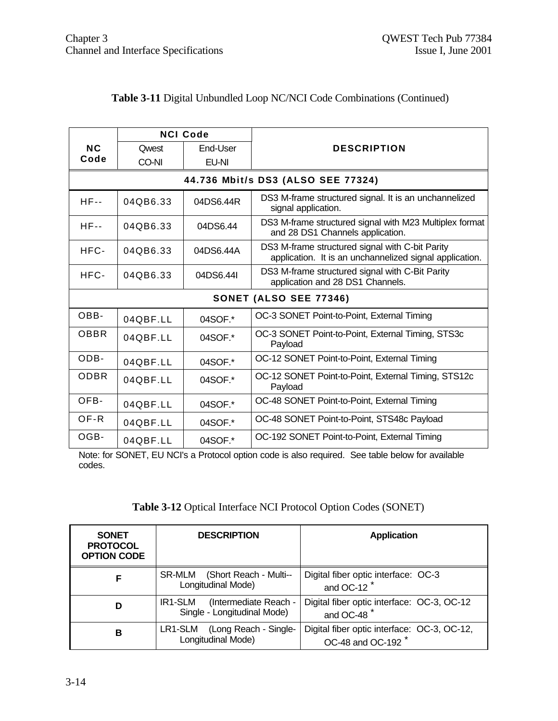|             | <b>NCI Code</b>               |           |                                                                                             |  |                                                                                                            |
|-------------|-------------------------------|-----------|---------------------------------------------------------------------------------------------|--|------------------------------------------------------------------------------------------------------------|
| <b>NC</b>   | <b>Owest</b>                  | End-User  | <b>DESCRIPTION</b>                                                                          |  |                                                                                                            |
| Code        | CO-NI                         | EU-NI     |                                                                                             |  |                                                                                                            |
|             |                               |           | 44.736 Mbit/s DS3 (ALSO SEE 77324)                                                          |  |                                                                                                            |
| $HF-$       | 04QB6.33                      | 04DS6.44R | DS3 M-frame structured signal. It is an unchannelized<br>signal application.                |  |                                                                                                            |
| $HF - -$    | 04QB6.33                      | 04DS6.44  | DS3 M-frame structured signal with M23 Multiplex format<br>and 28 DS1 Channels application. |  |                                                                                                            |
| HFC-        | 04QB6.33<br>04DS6.44A         |           |                                                                                             |  | DS3 M-frame structured signal with C-bit Parity<br>application. It is an unchannelized signal application. |
| HFC-        | 04QB6.33                      | 04DS6.44I | DS3 M-frame structured signal with C-Bit Parity<br>application and 28 DS1 Channels.         |  |                                                                                                            |
|             | <b>SONET (ALSO SEE 77346)</b> |           |                                                                                             |  |                                                                                                            |
| OBB-        | 04QBF.LL                      | 04SOF.*   | OC-3 SONET Point-to-Point, External Timing                                                  |  |                                                                                                            |
| <b>OBBR</b> | 04QBF.LL                      | 04SOF.*   | OC-3 SONET Point-to-Point, External Timing, STS3c<br>Payload                                |  |                                                                                                            |
| ODB-        | 04QBF.LL                      | 04SOF.*   | OC-12 SONET Point-to-Point, External Timing                                                 |  |                                                                                                            |
| <b>ODBR</b> | 04QBF.LL                      | 04SOF.*   | OC-12 SONET Point-to-Point, External Timing, STS12c<br>Payload                              |  |                                                                                                            |
| OFB-        | 04QBF.LL                      | 04SOF.*   | OC-48 SONET Point-to-Point, External Timing                                                 |  |                                                                                                            |
| OF-R        | 04QBF.LL                      | 04SOF.*   | OC-48 SONET Point-to-Point, STS48c Payload                                                  |  |                                                                                                            |
| OGB-        | 04QBF.LL                      | 04SOF.*   | OC-192 SONET Point-to-Point, External Timing                                                |  |                                                                                                            |

# **Table 3-11** Digital Unbundled Loop NC/NCI Code Combinations (Continued)

Note: for SONET, EU NCI's a Protocol option code is also required. See table below for available codes.

| <b>SONET</b><br><b>PROTOCOL</b><br><b>OPTION CODE</b> | <b>DESCRIPTION</b>                                              | <b>Application</b>                                              |  |
|-------------------------------------------------------|-----------------------------------------------------------------|-----------------------------------------------------------------|--|
| F                                                     | (Short Reach - Multi--<br>SR-MLM<br>Longitudinal Mode)          | Digital fiber optic interface: OC-3<br>and OC-12 $*$            |  |
| D                                                     | (Intermediate Reach -<br>IR1-SLM<br>Single - Longitudinal Mode) | Digital fiber optic interface: OC-3, OC-12<br>and OC-48         |  |
| в                                                     | (Long Reach - Single-<br>LR1-SLM<br>Longitudinal Mode)          | Digital fiber optic interface: OC-3, OC-12,<br>OC-48 and OC-192 |  |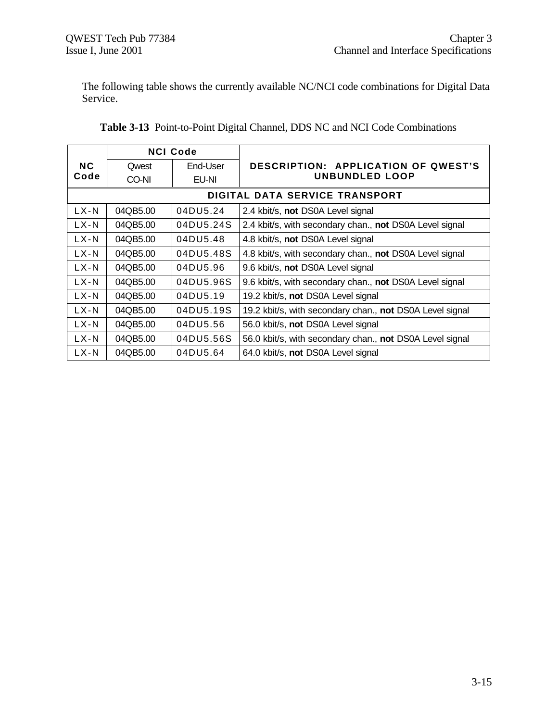The following table shows the currently available NC/NCI code combinations for Digital Data Service.

|           | <b>NCI Code</b> |           |                                                          |  |  |
|-----------|-----------------|-----------|----------------------------------------------------------|--|--|
| <b>NC</b> | Qwest           | End-User  | DESCRIPTION: APPLICATION OF QWEST'S                      |  |  |
| Code      | CO-NI           | EU-NI     | UNBUNDLED LOOP                                           |  |  |
|           |                 |           | DIGITAL DATA SERVICE TRANSPORT                           |  |  |
| $LX-N$    | 04QB5.00        | 04DU5.24  | 2.4 kbit/s, not DS0A Level signal                        |  |  |
| $LX-N$    | 04QB5.00        | 04DU5.24S | 2.4 kbit/s, with secondary chan., not DS0A Level signal  |  |  |
| $LX-N$    | 04QB5.00        | 04DU5.48  | 4.8 kbit/s, not DS0A Level signal                        |  |  |
| $LX-N$    | 04QB5.00        | 04DU5.48S | 4.8 kbit/s, with secondary chan., not DS0A Level signal  |  |  |
| $LX-N$    | 04QB5.00        | 04DU5.96  | 9.6 kbit/s, not DS0A Level signal                        |  |  |
| $LX-N$    | 04QB5.00        | 04DU5.96S | 9.6 kbit/s, with secondary chan., not DS0A Level signal  |  |  |
| $LX-N$    | 04QB5.00        | 04DU5.19  | 19.2 kbit/s, not DS0A Level signal                       |  |  |
| $LX-N$    | 04QB5.00        | 04DU5.19S | 19.2 kbit/s, with secondary chan., not DS0A Level signal |  |  |
| $LX-N$    | 04QB5.00        | 04DU5.56  | 56.0 kbit/s, not DS0A Level signal                       |  |  |
| LX-N      | 04QB5.00        | 04DU5.56S | 56.0 kbit/s, with secondary chan., not DS0A Level signal |  |  |
| $LX-N$    | 04QB5.00        | 04DU5.64  | 64.0 kbit/s, not DS0A Level signal                       |  |  |

| Table 3-13 Point-to-Point Digital Channel, DDS NC and NCI Code Combinations |  |  |
|-----------------------------------------------------------------------------|--|--|
|                                                                             |  |  |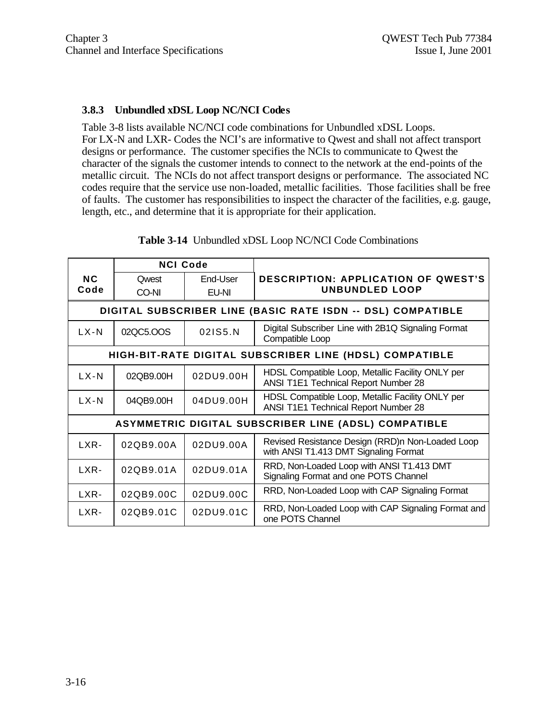#### **3.8.3 Unbundled xDSL Loop NC/NCI Codes**

Table 3-8 lists available NC/NCI code combinations for Unbundled xDSL Loops. For LX-N and LXR- Codes the NCI's are informative to Qwest and shall not affect transport designs or performance. The customer specifies the NCIs to communicate to Qwest the character of the signals the customer intends to connect to the network at the end-points of the metallic circuit. The NCIs do not affect transport designs or performance. The associated NC codes require that the service use non-loaded, metallic facilities. Those facilities shall be free of faults. The customer has responsibilities to inspect the character of the facilities, e.g. gauge, length, etc., and determine that it is appropriate for their application.

| <b>NCI Code</b> |              |           |                                                                                           |
|-----------------|--------------|-----------|-------------------------------------------------------------------------------------------|
| NC.             | <b>Qwest</b> | End-User  | <b>DESCRIPTION: APPLICATION OF QWEST'S</b>                                                |
| Code            | CO-NI        | EU-NI     | <b>UNBUNDLED LOOP</b>                                                                     |
|                 |              |           | DIGITAL SUBSCRIBER LINE (BASIC RATE ISDN -- DSL) COMPATIBLE                               |
| $LX-N$          | 02QC5.OOS    | 021S5.N   | Digital Subscriber Line with 2B1Q Signaling Format<br>Compatible Loop                     |
|                 |              |           | HIGH-BIT-RATE DIGITAL SUBSCRIBER LINE (HDSL) COMPATIBLE                                   |
| $LX-N$          | 02QB9.00H    | 02DU9.00H | HDSL Compatible Loop, Metallic Facility ONLY per<br>ANSI T1E1 Technical Report Number 28  |
| $LX-N$          | 04QB9.00H    | 04DU9.00H | HDSL Compatible Loop, Metallic Facility ONLY per<br>ANSI T1E1 Technical Report Number 28  |
|                 |              |           | ASYMMETRIC DIGITAL SUBSCRIBER LINE (ADSL) COMPATIBLE                                      |
| LXR-            | 02QB9.00A    | 02DU9.00A | Revised Resistance Design (RRD)n Non-Loaded Loop<br>with ANSI T1.413 DMT Signaling Format |
| LXR-            | 02QB9.01A    | 02DU9.01A | RRD, Non-Loaded Loop with ANSI T1.413 DMT<br>Signaling Format and one POTS Channel        |
| LXR-            | 02QB9.00C    | 02DU9.00C | RRD, Non-Loaded Loop with CAP Signaling Format                                            |
| LXR-            | 02QB9.01C    | 02DU9.01C | RRD, Non-Loaded Loop with CAP Signaling Format and<br>one POTS Channel                    |

#### **Table 3-14** Unbundled xDSL Loop NC/NCI Code Combinations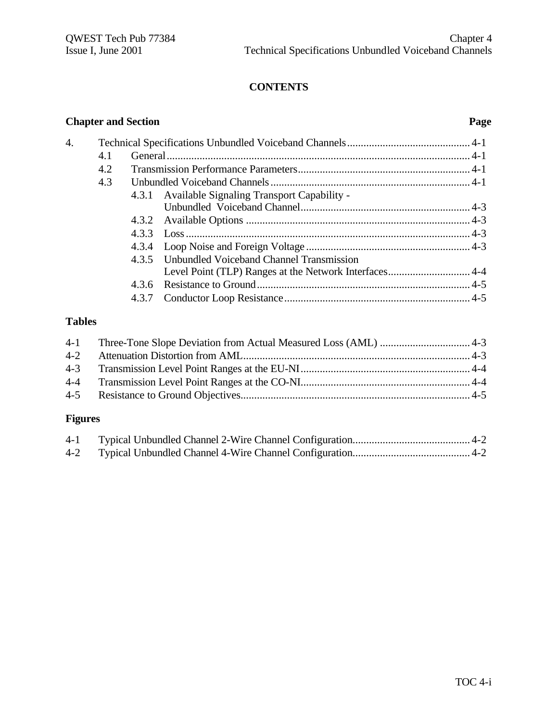# **CONTENTS**

#### **Chapter and Section Page**

| $\mathbf 4$ |     |       |                                                  |  |
|-------------|-----|-------|--------------------------------------------------|--|
|             | 4.1 |       |                                                  |  |
|             | 4.2 |       |                                                  |  |
|             | 4.3 |       |                                                  |  |
|             |     |       | 4.3.1 Available Signaling Transport Capability - |  |
|             |     |       |                                                  |  |
|             |     |       |                                                  |  |
|             |     |       |                                                  |  |
|             |     |       |                                                  |  |
|             |     |       | 4.3.5 Unbundled Voiceband Channel Transmission   |  |
|             |     |       |                                                  |  |
|             |     | 4.3.6 |                                                  |  |
|             |     | 4.3.7 |                                                  |  |
|             |     |       |                                                  |  |

## **Tables**

# **Figures**

| $4-1$ |  |
|-------|--|
|       |  |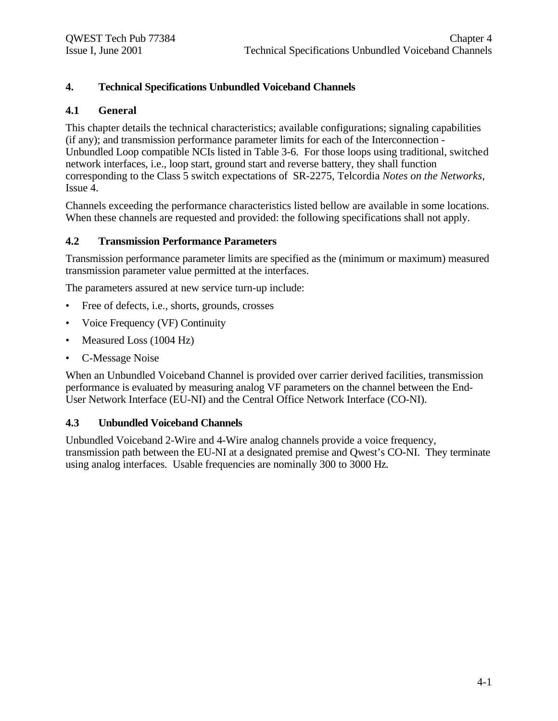### **4. Technical Specifications Unbundled Voiceband Channels**

#### **4.1 General**

This chapter details the technical characteristics; available configurations; signaling capabilities (if any); and transmission performance parameter limits for each of the Interconnection - Unbundled Loop compatible NCIs listed in Table 3-6. For those loops using traditional, switched network interfaces, i.e., loop start, ground start and reverse battery, they shall function corresponding to the Class 5 switch expectations of SR-2275, Telcordia *Notes on the Networks*, Issue 4.

Channels exceeding the performance characteristics listed bellow are available in some locations. When these channels are requested and provided: the following specifications shall not apply.

#### **4.2 Transmission Performance Parameters**

Transmission performance parameter limits are specified as the (minimum or maximum) measured transmission parameter value permitted at the interfaces.

The parameters assured at new service turn-up include:

- Free of defects, i.e., shorts, grounds, crosses
- Voice Frequency (VF) Continuity
- Measured Loss (1004 Hz)
- C-Message Noise

When an Unbundled Voiceband Channel is provided over carrier derived facilities, transmission performance is evaluated by measuring analog VF parameters on the channel between the End-User Network Interface (EU-NI) and the Central Office Network Interface (CO-NI).

#### **4.3 Unbundled Voiceband Channels**

Unbundled Voiceband 2-Wire and 4-Wire analog channels provide a voice frequency, transmission path between the EU-NI at a designated premise and Qwest's CO-NI. They terminate using analog interfaces. Usable frequencies are nominally 300 to 3000 Hz.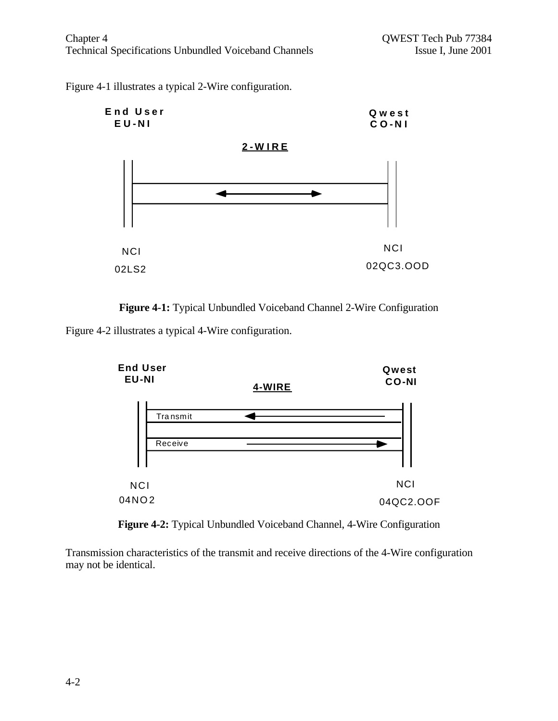Figure 4-1 illustrates a typical 2-Wire configuration.





Figure 4-2 illustrates a typical 4-Wire configuration.



**Figure 4-2:** Typical Unbundled Voiceband Channel, 4-Wire Configuration

Transmission characteristics of the transmit and receive directions of the 4-Wire configuration may not be identical.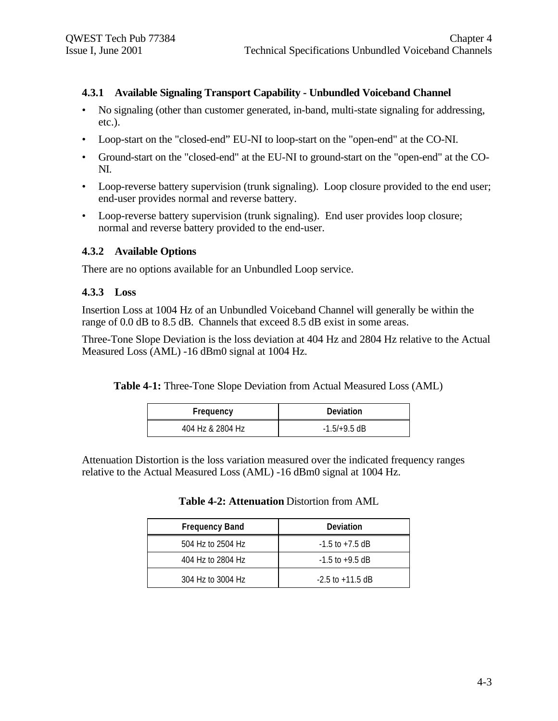#### **4.3.1 Available Signaling Transport Capability - Unbundled Voiceband Channel**

- No signaling (other than customer generated, in-band, multi-state signaling for addressing, etc.).
- Loop-start on the "closed-end" EU-NI to loop-start on the "open-end" at the CO-NI.
- Ground-start on the "closed-end" at the EU-NI to ground-start on the "open-end" at the CO-NI.
- Loop-reverse battery supervision (trunk signaling). Loop closure provided to the end user; end-user provides normal and reverse battery.
- Loop-reverse battery supervision (trunk signaling). End user provides loop closure; normal and reverse battery provided to the end-user.

#### **4.3.2 Available Options**

There are no options available for an Unbundled Loop service.

#### **4.3.3 Loss**

Insertion Loss at 1004 Hz of an Unbundled Voiceband Channel will generally be within the range of 0.0 dB to 8.5 dB. Channels that exceed 8.5 dB exist in some areas.

Three-Tone Slope Deviation is the loss deviation at 404 Hz and 2804 Hz relative to the Actual Measured Loss (AML) -16 dBm0 signal at 1004 Hz.

**Table 4-1:** Three-Tone Slope Deviation from Actual Measured Loss (AML)

| Frequency        | Deviation      |
|------------------|----------------|
| 404 Hz & 2804 Hz | $-1.5/+9.5$ dB |

Attenuation Distortion is the loss variation measured over the indicated frequency ranges relative to the Actual Measured Loss (AML) -16 dBm0 signal at 1004 Hz.

|  | <b>Table 4-2: Attenuation Distortion from AML</b> |  |  |  |
|--|---------------------------------------------------|--|--|--|
|--|---------------------------------------------------|--|--|--|

| <b>Frequency Band</b> | Deviation            |
|-----------------------|----------------------|
| 504 Hz to 2504 Hz     | $-1.5$ to $+7.5$ dB  |
| 404 Hz to 2804 Hz     | $-1.5$ to $+9.5$ dB  |
| 304 Hz to 3004 Hz     | $-2.5$ to $+11.5$ dB |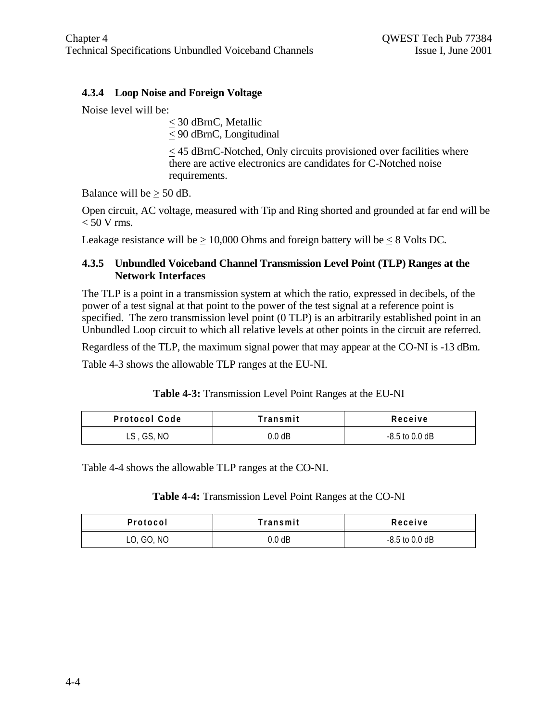#### **4.3.4 Loop Noise and Foreign Voltage**

Noise level will be:

< 30 dBrnC, Metallic  $\leq$  90 dBrnC, Longitudinal

< 45 dBrnC-Notched, Only circuits provisioned over facilities where there are active electronics are candidates for C-Notched noise requirements.

Balance will be  $\geq 50$  dB.

Open circuit, AC voltage, measured with Tip and Ring shorted and grounded at far end will be  $< 50$  V rms.

Leakage resistance will be  $\geq 10,000$  Ohms and foreign battery will be  $\leq 8$  Volts DC.

#### **4.3.5 Unbundled Voiceband Channel Transmission Level Point (TLP) Ranges at the Network Interfaces**

The TLP is a point in a transmission system at which the ratio, expressed in decibels, of the power of a test signal at that point to the power of the test signal at a reference point is specified. The zero transmission level point (0 TLP) is an arbitrarily established point in an Unbundled Loop circuit to which all relative levels at other points in the circuit are referred.

Regardless of the TLP, the maximum signal power that may appear at the CO-NI is -13 dBm.

Table 4-3 shows the allowable TLP ranges at the EU-NI.

| Table 4-3: Transmission Level Point Ranges at the EU-NI |  |  |
|---------------------------------------------------------|--|--|
|                                                         |  |  |

| <b>Protocol Code</b> | Transmit | Receive          |
|----------------------|----------|------------------|
| LS, GS, NO           | 0.0 dB   | $-8.5$ to 0.0 dB |

Table 4-4 shows the allowable TLP ranges at the CO-NI.

#### **Table 4-4:** Transmission Level Point Ranges at the CO-NI

| Protocol   | Transmit | Receive          |
|------------|----------|------------------|
| LO, GO, NO | 0.0 dB   | $-8.5$ to 0.0 dB |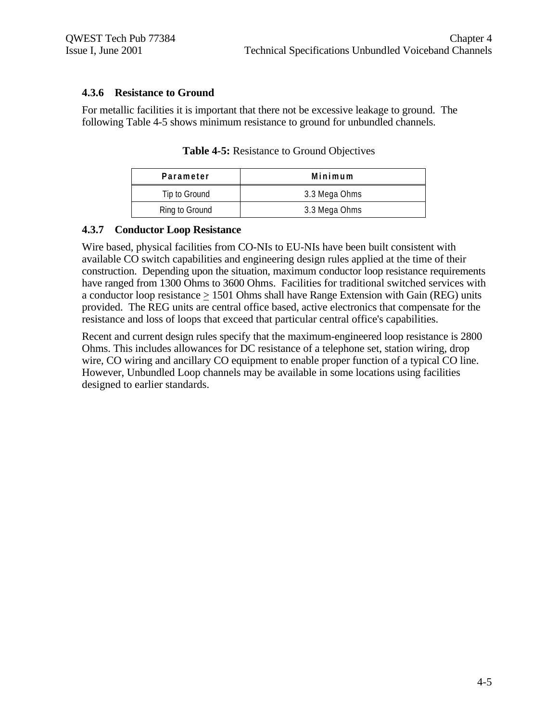#### **4.3.6 Resistance to Ground**

For metallic facilities it is important that there not be excessive leakage to ground. The following Table 4-5 shows minimum resistance to ground for unbundled channels.

| Parameter      | Minimum       |
|----------------|---------------|
| Tip to Ground  | 3.3 Mega Ohms |
| Ring to Ground | 3.3 Mega Ohms |

**Table 4-5:** Resistance to Ground Objectives

#### **4.3.7 Conductor Loop Resistance**

Wire based, physical facilities from CO-NIs to EU-NIs have been built consistent with available CO switch capabilities and engineering design rules applied at the time of their construction. Depending upon the situation, maximum conductor loop resistance requirements have ranged from 1300 Ohms to 3600 Ohms. Facilities for traditional switched services with a conductor loop resistance > 1501 Ohms shall have Range Extension with Gain (REG) units provided. The REG units are central office based, active electronics that compensate for the resistance and loss of loops that exceed that particular central office's capabilities.

Recent and current design rules specify that the maximum-engineered loop resistance is 2800 Ohms. This includes allowances for DC resistance of a telephone set, station wiring, drop wire, CO wiring and ancillary CO equipment to enable proper function of a typical CO line. However, Unbundled Loop channels may be available in some locations using facilities designed to earlier standards.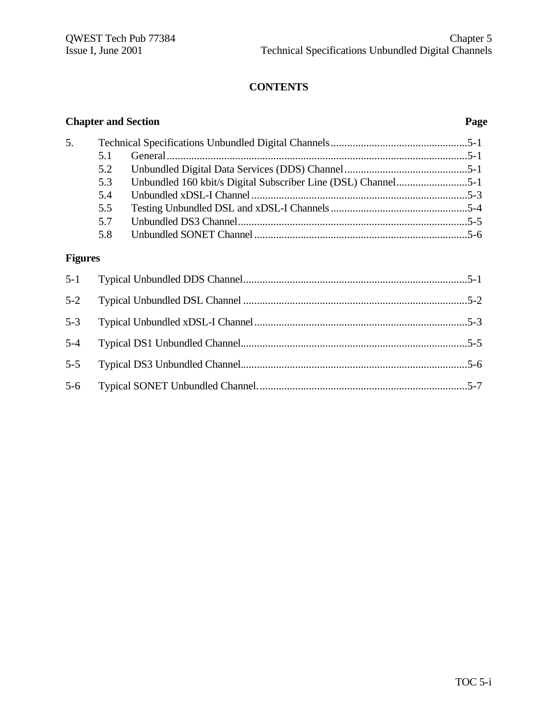# **CONTENTS**

|                |     | <b>Chapter and Section</b> | Page |
|----------------|-----|----------------------------|------|
| 5.             |     |                            |      |
|                | 5.1 |                            |      |
|                | 5.2 |                            |      |
|                | 5.3 |                            |      |
|                | 5.4 |                            |      |
|                | 5.5 |                            |      |
|                | 5.7 |                            |      |
|                | 5.8 |                            |      |
| <b>Figures</b> |     |                            |      |
| $5 - 1$        |     |                            |      |
| $5 - 2$        |     |                            |      |
| $5 - 3$        |     |                            |      |
| $5 - 4$        |     |                            |      |
| $5 - 5$        |     |                            |      |
| $5 - 6$        |     |                            |      |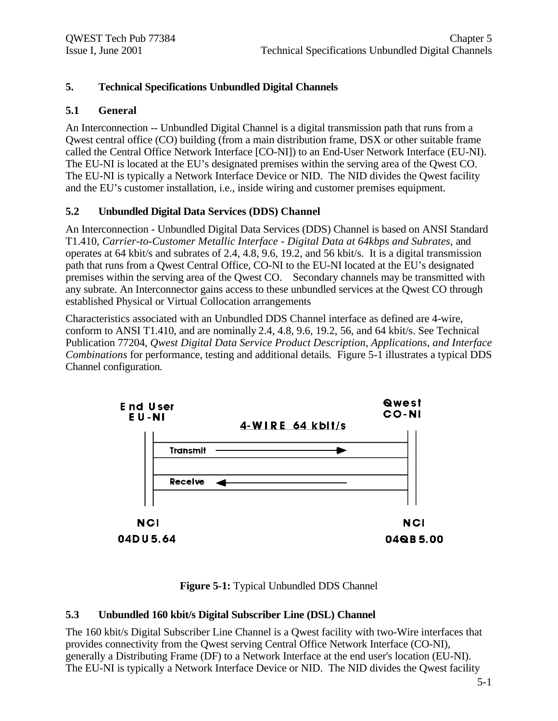### **5. Technical Specifications Unbundled Digital Channels**

#### **5.1 General**

An Interconnection -- Unbundled Digital Channel is a digital transmission path that runs from a Qwest central office (CO) building (from a main distribution frame, DSX or other suitable frame called the Central Office Network Interface [CO-NI]) to an End-User Network Interface (EU-NI). The EU-NI is located at the EU's designated premises within the serving area of the Qwest CO. The EU-NI is typically a Network Interface Device or NID. The NID divides the Qwest facility and the EU's customer installation, i.e., inside wiring and customer premises equipment.

#### **5.2 Unbundled Digital Data Services (DDS) Channel**

An Interconnection - Unbundled Digital Data Services (DDS) Channel is based on ANSI Standard T1.410, *Carrier-to-Customer Metallic Interface - Digital Data at 64kbps and Subrates,* and operates at 64 kbit/s and subrates of 2.4, 4.8, 9.6, 19.2, and 56 kbit/s. It is a digital transmission path that runs from a Qwest Central Office, CO-NI to the EU-NI located at the EU's designated premises within the serving area of the Qwest CO. Secondary channels may be transmitted with any subrate. An Interconnector gains access to these unbundled services at the Qwest CO through established Physical or Virtual Collocation arrangements

Characteristics associated with an Unbundled DDS Channel interface as defined are 4-wire, conform to ANSI T1.410, and are nominally 2.4, 4.8, 9.6, 19.2, 56, and 64 kbit/s. See Technical Publication 77204, *Qwest Digital Data Service Product Description, Applications, and Interface Combinations* for performance, testing and additional details*.* Figure 5-1 illustrates a typical DDS Channel configuration.



**Figure 5-1:** Typical Unbundled DDS Channel

#### **5.3 Unbundled 160 kbit/s Digital Subscriber Line (DSL) Channel**

The 160 kbit/s Digital Subscriber Line Channel is a Qwest facility with two-Wire interfaces that provides connectivity from the Qwest serving Central Office Network Interface (CO-NI), generally a Distributing Frame (DF) to a Network Interface at the end user's location (EU-NI). The EU-NI is typically a Network Interface Device or NID. The NID divides the Qwest facility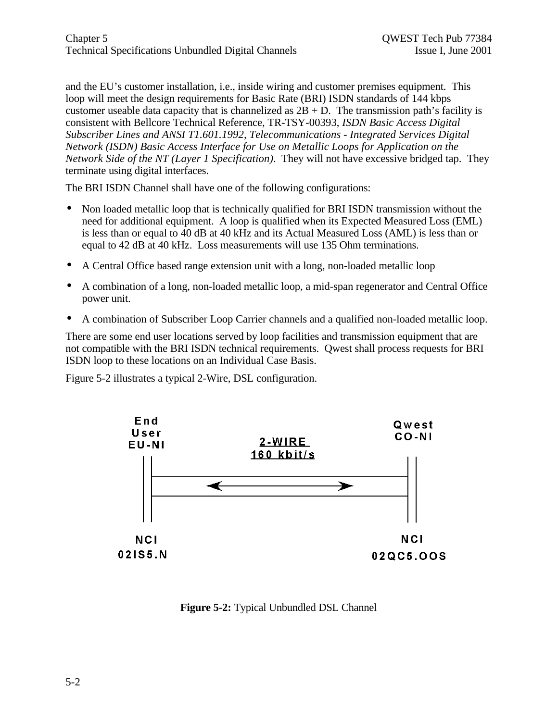and the EU's customer installation, i.e., inside wiring and customer premises equipment. This loop will meet the design requirements for Basic Rate (BRI) ISDN standards of 144 kbps customer useable data capacity that is channelized as  $2B + D$ . The transmission path's facility is consistent with Bellcore Technical Reference, TR-TSY-00393, *ISDN Basic Access Digital Subscriber Lines and ANSI T1.601.1992, Telecommunications - Integrated Services Digital Network (ISDN) Basic Access Interface for Use on Metallic Loops for Application on the Network Side of the NT (Layer 1 Specification)*. They will not have excessive bridged tap. They terminate using digital interfaces.

The BRI ISDN Channel shall have one of the following configurations:

- Non loaded metallic loop that is technically qualified for BRI ISDN transmission without the need for additional equipment. A loop is qualified when its Expected Measured Loss (EML) is less than or equal to 40 dB at 40 kHz and its Actual Measured Loss (AML) is less than or equal to 42 dB at 40 kHz. Loss measurements will use 135 Ohm terminations.
- A Central Office based range extension unit with a long, non-loaded metallic loop
- A combination of a long, non-loaded metallic loop, a mid-span regenerator and Central Office power unit.
- A combination of Subscriber Loop Carrier channels and a qualified non-loaded metallic loop.

There are some end user locations served by loop facilities and transmission equipment that are not compatible with the BRI ISDN technical requirements. Qwest shall process requests for BRI ISDN loop to these locations on an Individual Case Basis.

Figure 5-2 illustrates a typical 2-Wire, DSL configuration.



**Figure 5-2:** Typical Unbundled DSL Channel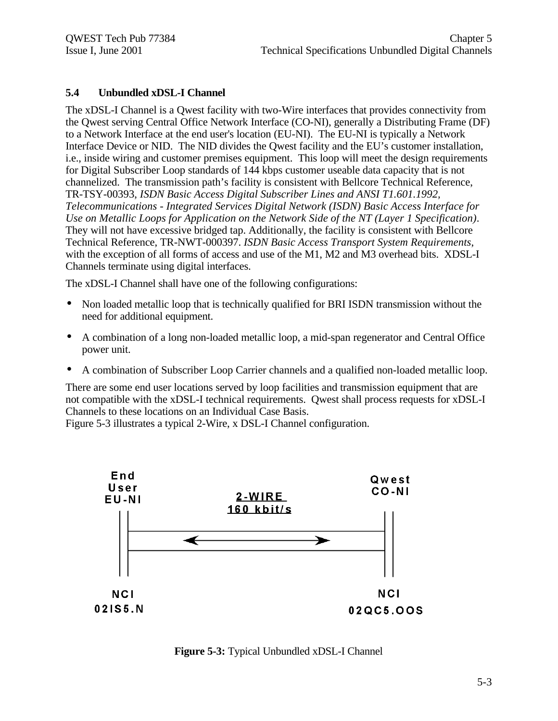#### **5.4 Unbundled xDSL-I Channel**

The xDSL-I Channel is a Qwest facility with two-Wire interfaces that provides connectivity from the Qwest serving Central Office Network Interface (CO-NI), generally a Distributing Frame (DF) to a Network Interface at the end user's location (EU-NI). The EU-NI is typically a Network Interface Device or NID. The NID divides the Qwest facility and the EU's customer installation, i.e., inside wiring and customer premises equipment. This loop will meet the design requirements for Digital Subscriber Loop standards of 144 kbps customer useable data capacity that is not channelized. The transmission path's facility is consistent with Bellcore Technical Reference, TR-TSY-00393, *ISDN Basic Access Digital Subscriber Lines and ANSI T1.601.1992, Telecommunications - Integrated Services Digital Network (ISDN) Basic Access Interface for Use on Metallic Loops for Application on the Network Side of the NT (Layer 1 Specification)*. They will not have excessive bridged tap. Additionally, the facility is consistent with Bellcore Technical Reference, TR-NWT-000397. *ISDN Basic Access Transport System Requirements*, with the exception of all forms of access and use of the M1, M2 and M3 overhead bits. XDSL-I Channels terminate using digital interfaces.

The xDSL-I Channel shall have one of the following configurations:

- Non loaded metallic loop that is technically qualified for BRI ISDN transmission without the need for additional equipment.
- A combination of a long non-loaded metallic loop, a mid-span regenerator and Central Office power unit.
- A combination of Subscriber Loop Carrier channels and a qualified non-loaded metallic loop.

There are some end user locations served by loop facilities and transmission equipment that are not compatible with the xDSL-I technical requirements. Qwest shall process requests for xDSL-I Channels to these locations on an Individual Case Basis.

Figure 5-3 illustrates a typical 2-Wire, x DSL-I Channel configuration.



**Figure 5-3:** Typical Unbundled xDSL-I Channel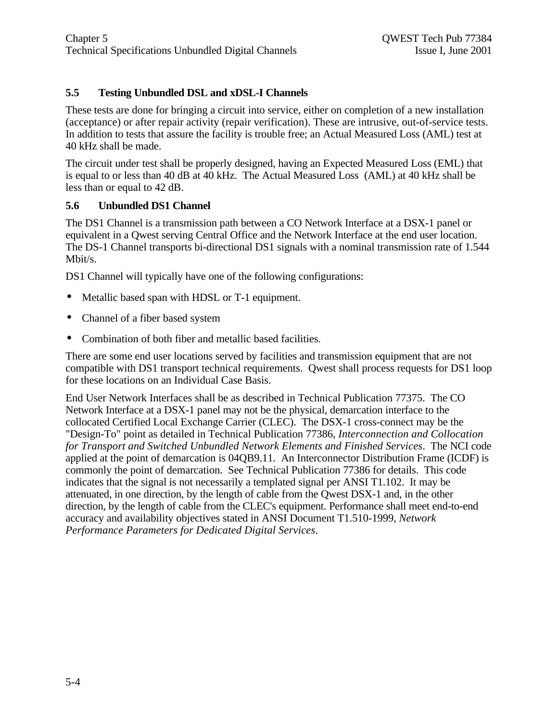### **5.5 Testing Unbundled DSL and xDSL-I Channels**

These tests are done for bringing a circuit into service, either on completion of a new installation (acceptance) or after repair activity (repair verification). These are intrusive, out-of-service tests. In addition to tests that assure the facility is trouble free; an Actual Measured Loss (AML) test at 40 kHz shall be made.

The circuit under test shall be properly designed, having an Expected Measured Loss (EML) that is equal to or less than 40 dB at 40 kHz. The Actual Measured Loss (AML) at 40 kHz shall be less than or equal to 42 dB.

#### **5.6 Unbundled DS1 Channel**

The DS1 Channel is a transmission path between a CO Network Interface at a DSX-1 panel or equivalent in a Qwest serving Central Office and the Network Interface at the end user location. The DS-1 Channel transports bi-directional DS1 signals with a nominal transmission rate of 1.544 Mbit/s.

DS1 Channel will typically have one of the following configurations:

- Metallic based span with HDSL or T-1 equipment.
- Channel of a fiber based system
- Combination of both fiber and metallic based facilities.

There are some end user locations served by facilities and transmission equipment that are not compatible with DS1 transport technical requirements. Qwest shall process requests for DS1 loop for these locations on an Individual Case Basis.

End User Network Interfaces shall be as described in Technical Publication 77375. The CO Network Interface at a DSX-1 panel may not be the physical, demarcation interface to the collocated Certified Local Exchange Carrier (CLEC). The DSX-1 cross-connect may be the "Design-To" point as detailed in Technical Publication 77386, *Interconnection and Collocation for Transport and Switched Unbundled Network Elements and Finished Services*. The NCI code applied at the point of demarcation is 04QB9.11. An Interconnector Distribution Frame (ICDF) is commonly the point of demarcation. See Technical Publication 77386 for details. This code indicates that the signal is not necessarily a templated signal per ANSI T1.102. It may be attenuated, in one direction, by the length of cable from the Qwest DSX-1 and, in the other direction, by the length of cable from the CLEC's equipment. Performance shall meet end-to-end accuracy and availability objectives stated in ANSI Document T1.510-1999, *Network Performance Parameters for Dedicated Digital Services*.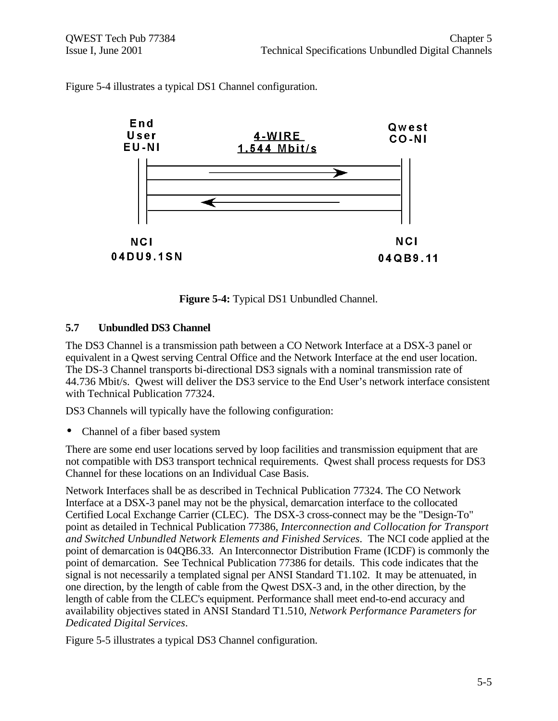

Figure 5-4 illustrates a typical DS1 Channel configuration.

**Figure 5-4:** Typical DS1 Unbundled Channel.

#### **5.7 Unbundled DS3 Channel**

The DS3 Channel is a transmission path between a CO Network Interface at a DSX-3 panel or equivalent in a Qwest serving Central Office and the Network Interface at the end user location. The DS-3 Channel transports bi-directional DS3 signals with a nominal transmission rate of 44.736 Mbit/s. Qwest will deliver the DS3 service to the End User's network interface consistent with Technical Publication 77324.

DS3 Channels will typically have the following configuration:

• Channel of a fiber based system

There are some end user locations served by loop facilities and transmission equipment that are not compatible with DS3 transport technical requirements. Qwest shall process requests for DS3 Channel for these locations on an Individual Case Basis.

Network Interfaces shall be as described in Technical Publication 77324. The CO Network Interface at a DSX-3 panel may not be the physical, demarcation interface to the collocated Certified Local Exchange Carrier (CLEC). The DSX-3 cross-connect may be the "Design-To" point as detailed in Technical Publication 77386, *Interconnection and Collocation for Transport and Switched Unbundled Network Elements and Finished Services*. The NCI code applied at the point of demarcation is 04QB6.33. An Interconnector Distribution Frame (ICDF) is commonly the point of demarcation. See Technical Publication 77386 for details. This code indicates that the signal is not necessarily a templated signal per ANSI Standard T1.102. It may be attenuated, in one direction, by the length of cable from the Qwest DSX-3 and, in the other direction, by the length of cable from the CLEC's equipment. Performance shall meet end-to-end accuracy and availability objectives stated in ANSI Standard T1.510, *Network Performance Parameters for Dedicated Digital Services*.

Figure 5-5 illustrates a typical DS3 Channel configuration.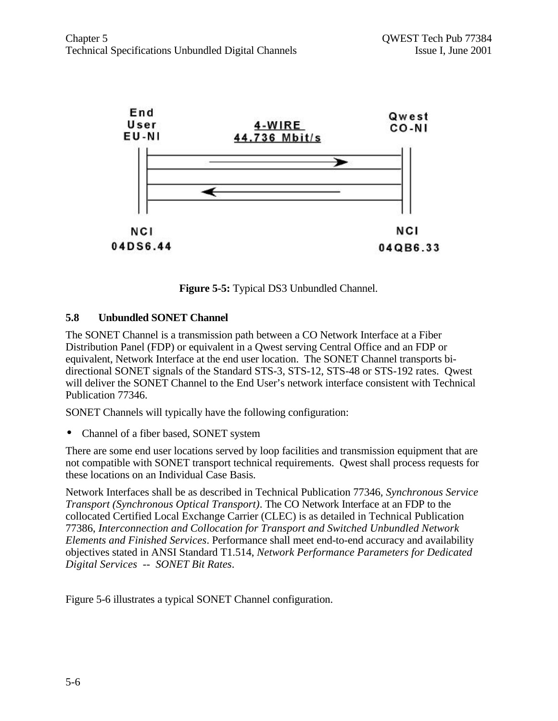

**Figure 5-5:** Typical DS3 Unbundled Channel.

#### **5.8 Unbundled SONET Channel**

The SONET Channel is a transmission path between a CO Network Interface at a Fiber Distribution Panel (FDP) or equivalent in a Qwest serving Central Office and an FDP or equivalent, Network Interface at the end user location. The SONET Channel transports bidirectional SONET signals of the Standard STS-3, STS-12, STS-48 or STS-192 rates. Qwest will deliver the SONET Channel to the End User's network interface consistent with Technical Publication 77346.

SONET Channels will typically have the following configuration:

• Channel of a fiber based, SONET system

There are some end user locations served by loop facilities and transmission equipment that are not compatible with SONET transport technical requirements. Qwest shall process requests for these locations on an Individual Case Basis.

Network Interfaces shall be as described in Technical Publication 77346*, Synchronous Service Transport (Synchronous Optical Transport)*. The CO Network Interface at an FDP to the collocated Certified Local Exchange Carrier (CLEC) is as detailed in Technical Publication 77386, *Interconnection and Collocation for Transport and Switched Unbundled Network Elements and Finished Services*. Performance shall meet end-to-end accuracy and availability objectives stated in ANSI Standard T1.514, *Network Performance Parameters for Dedicated Digital Services -- SONET Bit Rates*.

Figure 5-6 illustrates a typical SONET Channel configuration.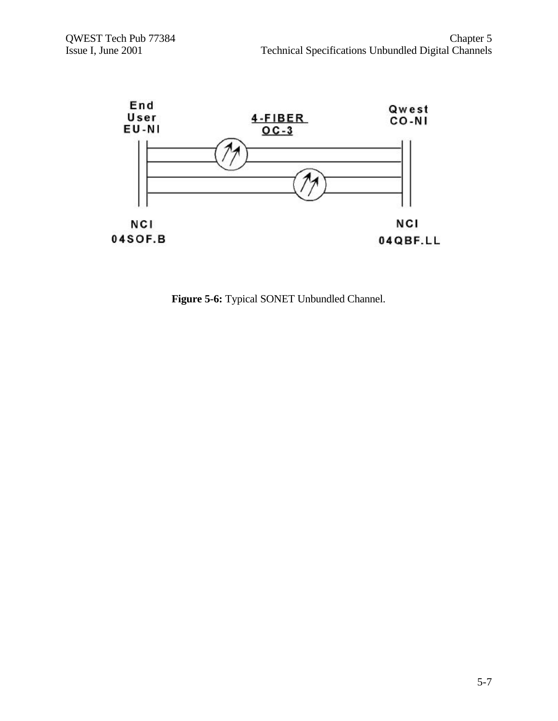

**Figure 5-6:** Typical SONET Unbundled Channel.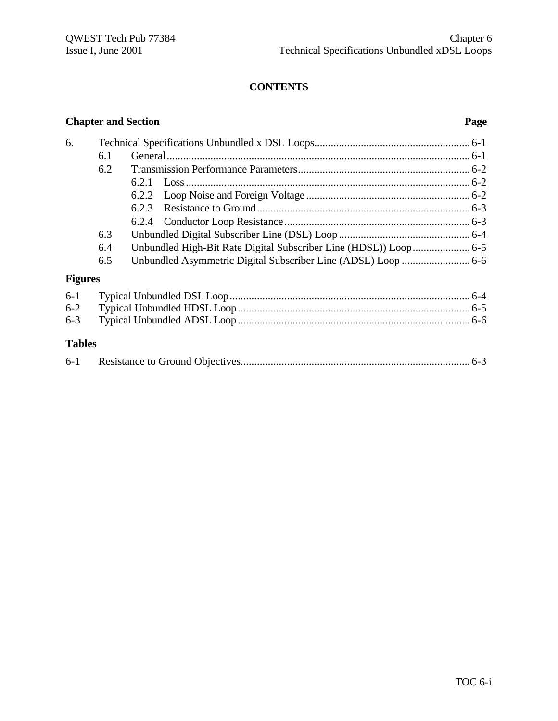### **CONTENTS**

# **Chapter and Section Page** 6. Technical Specifications Unbundled x DSL Loops......................................................... 6-1 6.1 General............................................................................................................... 6-1 6.2 Transmission Performance Parameters............................................................... 6-2 6.2.1 Loss........................................................................................................ 6-2 6.2.2 Loop Noise and Foreign Voltage ............................................................ 6-2 6.2.3 Resistance to Ground.............................................................................. 6-3 6.2.4 Conductor Loop Resistance.................................................................... 6-3 6.3 Unbundled Digital Subscriber Line (DSL) Loop ................................................ 6-4 6.4 Unbundled High-Bit Rate Digital Subscriber Line (HDSL)) Loop..................... 6-5 6.5 Unbundled Asymmetric Digital Subscriber Line (ADSL) Loop ......................... 6-6 **Figures** 6-1 Typical Unbundled DSL Loop........................................................................................ 6-4 6-2 Typical Unbundled HDSL Loop ..................................................................................... 6-5 6-3 Typical Unbundled ADSL Loop ..................................................................................... 6-6 **Tables** 6-1 Resistance to Ground Objectives.................................................................................... 6-3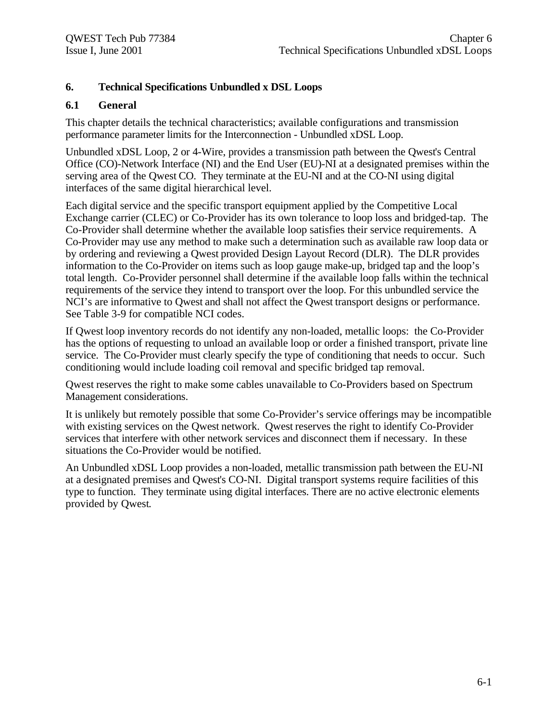#### **6. Technical Specifications Unbundled x DSL Loops**

#### **6.1 General**

This chapter details the technical characteristics; available configurations and transmission performance parameter limits for the Interconnection - Unbundled xDSL Loop.

Unbundled xDSL Loop, 2 or 4-Wire, provides a transmission path between the Qwest's Central Office (CO)-Network Interface (NI) and the End User (EU)-NI at a designated premises within the serving area of the Qwest CO. They terminate at the EU-NI and at the CO-NI using digital interfaces of the same digital hierarchical level.

Each digital service and the specific transport equipment applied by the Competitive Local Exchange carrier (CLEC) or Co-Provider has its own tolerance to loop loss and bridged-tap. The Co-Provider shall determine whether the available loop satisfies their service requirements. A Co-Provider may use any method to make such a determination such as available raw loop data or by ordering and reviewing a Qwest provided Design Layout Record (DLR). The DLR provides information to the Co-Provider on items such as loop gauge make-up, bridged tap and the loop's total length. Co-Provider personnel shall determine if the available loop falls within the technical requirements of the service they intend to transport over the loop. For this unbundled service the NCI's are informative to Qwest and shall not affect the Qwest transport designs or performance. See Table 3-9 for compatible NCI codes.

If Qwest loop inventory records do not identify any non-loaded, metallic loops: the Co-Provider has the options of requesting to unload an available loop or order a finished transport, private line service. The Co-Provider must clearly specify the type of conditioning that needs to occur. Such conditioning would include loading coil removal and specific bridged tap removal.

Qwest reserves the right to make some cables unavailable to Co-Providers based on Spectrum Management considerations.

It is unlikely but remotely possible that some Co-Provider's service offerings may be incompatible with existing services on the Qwest network. Qwest reserves the right to identify Co-Provider services that interfere with other network services and disconnect them if necessary. In these situations the Co-Provider would be notified.

An Unbundled xDSL Loop provides a non-loaded, metallic transmission path between the EU-NI at a designated premises and Qwest's CO-NI. Digital transport systems require facilities of this type to function. They terminate using digital interfaces. There are no active electronic elements provided by Qwest.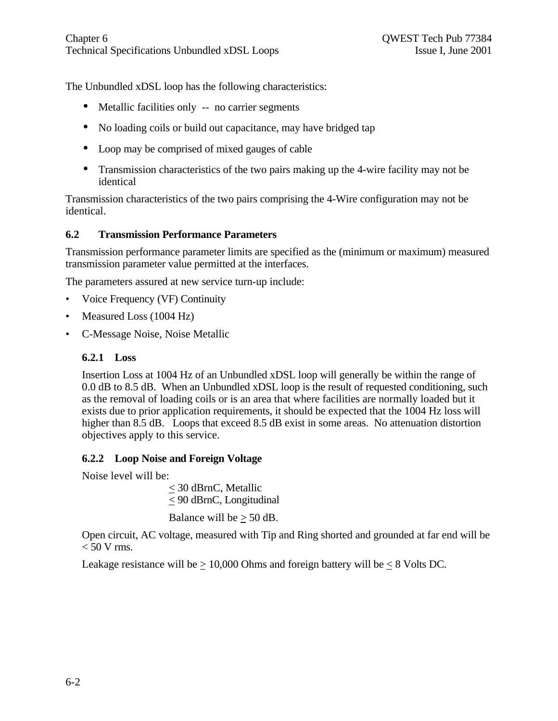The Unbundled xDSL loop has the following characteristics:

- Metallic facilities only -- no carrier segments
- No loading coils or build out capacitance, may have bridged tap
- Loop may be comprised of mixed gauges of cable
- Transmission characteristics of the two pairs making up the 4-wire facility may not be identical

Transmission characteristics of the two pairs comprising the 4-Wire configuration may not be identical.

## **6.2 Transmission Performance Parameters**

Transmission performance parameter limits are specified as the (minimum or maximum) measured transmission parameter value permitted at the interfaces.

The parameters assured at new service turn-up include:

- Voice Frequency (VF) Continuity
- Measured Loss (1004 Hz)
- C-Message Noise, Noise Metallic

### **6.2.1 Loss**

Insertion Loss at 1004 Hz of an Unbundled xDSL loop will generally be within the range of 0.0 dB to 8.5 dB. When an Unbundled xDSL loop is the result of requested conditioning, such as the removal of loading coils or is an area that where facilities are normally loaded but it exists due to prior application requirements, it should be expected that the 1004 Hz loss will higher than 8.5 dB. Loops that exceed 8.5 dB exist in some areas. No attenuation distortion objectives apply to this service.

## **6.2.2 Loop Noise and Foreign Voltage**

Noise level will be:

< 30 dBrnC, Metallic  $\leq$  90 dBrnC, Longitudinal Balance will be  $> 50$  dB.

Open circuit, AC voltage, measured with Tip and Ring shorted and grounded at far end will be  $< 50$  V rms.

Leakage resistance will be  $\geq 10,000$  Ohms and foreign battery will be  $\leq 8$  Volts DC.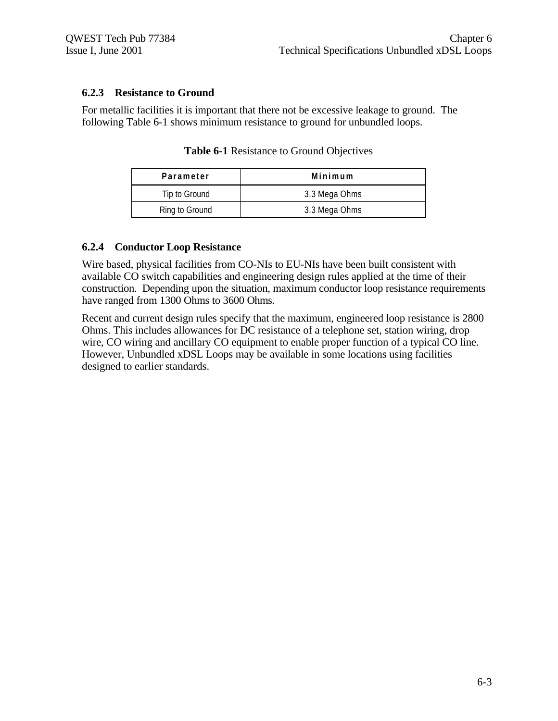#### **6.2.3 Resistance to Ground**

For metallic facilities it is important that there not be excessive leakage to ground. The following Table 6-1 shows minimum resistance to ground for unbundled loops.

| Parameter      | Minimum       |
|----------------|---------------|
| Tip to Ground  | 3.3 Mega Ohms |
| Ring to Ground | 3.3 Mega Ohms |

**Table 6-1** Resistance to Ground Objectives

#### **6.2.4 Conductor Loop Resistance**

Wire based, physical facilities from CO-NIs to EU-NIs have been built consistent with available CO switch capabilities and engineering design rules applied at the time of their construction. Depending upon the situation, maximum conductor loop resistance requirements have ranged from 1300 Ohms to 3600 Ohms.

Recent and current design rules specify that the maximum, engineered loop resistance is 2800 Ohms. This includes allowances for DC resistance of a telephone set, station wiring, drop wire, CO wiring and ancillary CO equipment to enable proper function of a typical CO line. However, Unbundled xDSL Loops may be available in some locations using facilities designed to earlier standards.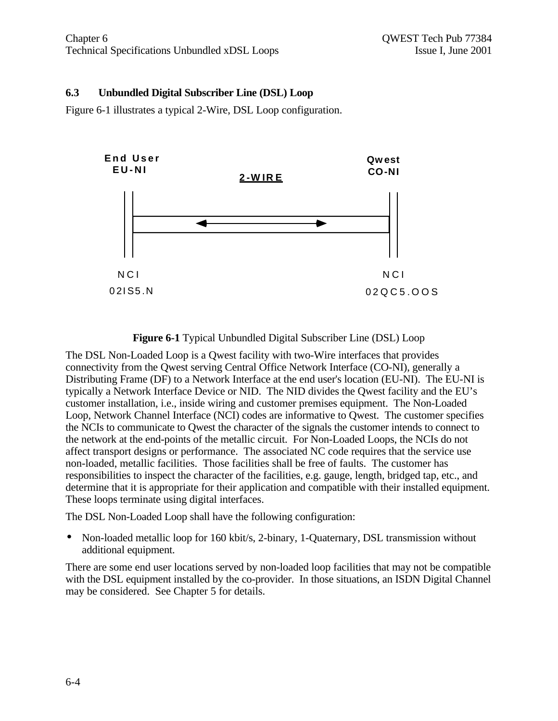#### **6.3 Unbundled Digital Subscriber Line (DSL) Loop**

Figure 6-1 illustrates a typical 2-Wire, DSL Loop configuration.



#### **Figure 6-1** Typical Unbundled Digital Subscriber Line (DSL) Loop

The DSL Non-Loaded Loop is a Qwest facility with two-Wire interfaces that provides connectivity from the Qwest serving Central Office Network Interface (CO-NI), generally a Distributing Frame (DF) to a Network Interface at the end user's location (EU-NI). The EU-NI is typically a Network Interface Device or NID. The NID divides the Qwest facility and the EU's customer installation, i.e., inside wiring and customer premises equipment. The Non-Loaded Loop, Network Channel Interface (NCI) codes are informative to Qwest. The customer specifies the NCIs to communicate to Qwest the character of the signals the customer intends to connect to the network at the end-points of the metallic circuit. For Non-Loaded Loops, the NCIs do not affect transport designs or performance. The associated NC code requires that the service use non-loaded, metallic facilities. Those facilities shall be free of faults. The customer has responsibilities to inspect the character of the facilities, e.g. gauge, length, bridged tap, etc., and determine that it is appropriate for their application and compatible with their installed equipment. These loops terminate using digital interfaces.

The DSL Non-Loaded Loop shall have the following configuration:

• Non-loaded metallic loop for 160 kbit/s, 2-binary, 1-Quaternary, DSL transmission without additional equipment.

There are some end user locations served by non-loaded loop facilities that may not be compatible with the DSL equipment installed by the co-provider. In those situations, an ISDN Digital Channel may be considered. See Chapter 5 for details.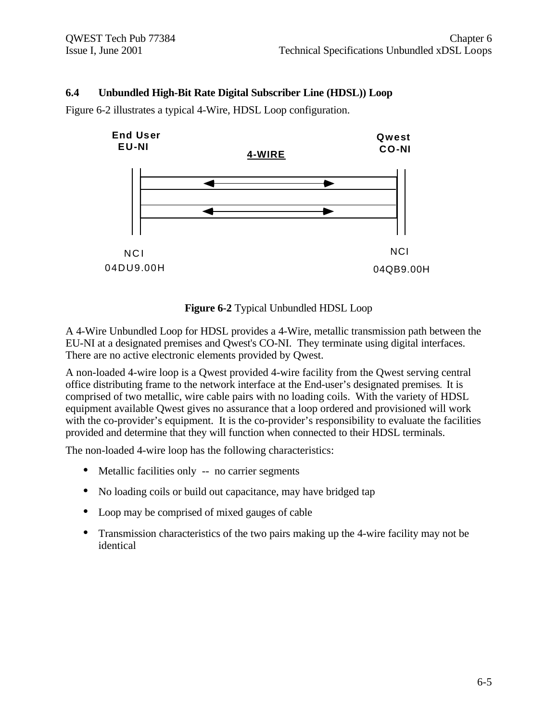#### **6.4 Unbundled High-Bit Rate Digital Subscriber Line (HDSL)) Loop**

Figure 6-2 illustrates a typical 4-Wire, HDSL Loop configuration.



#### **Figure 6-2** Typical Unbundled HDSL Loop

A 4-Wire Unbundled Loop for HDSL provides a 4-Wire, metallic transmission path between the EU-NI at a designated premises and Qwest's CO-NI. They terminate using digital interfaces. There are no active electronic elements provided by Qwest.

A non-loaded 4-wire loop is a Qwest provided 4-wire facility from the Qwest serving central office distributing frame to the network interface at the End-user's designated premises**.** It is comprised of two metallic, wire cable pairs with no loading coils. With the variety of HDSL equipment available Qwest gives no assurance that a loop ordered and provisioned will work with the co-provider's equipment. It is the co-provider's responsibility to evaluate the facilities provided and determine that they will function when connected to their HDSL terminals.

The non-loaded 4-wire loop has the following characteristics:

- Metallic facilities only -- no carrier segments
- No loading coils or build out capacitance, may have bridged tap
- Loop may be comprised of mixed gauges of cable
- Transmission characteristics of the two pairs making up the 4-wire facility may not be identical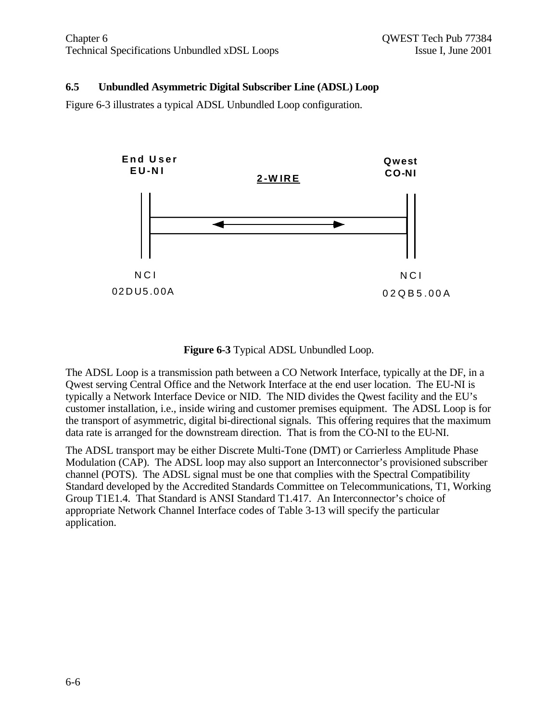#### **6.5 Unbundled Asymmetric Digital Subscriber Line (ADSL) Loop**

Figure 6-3 illustrates a typical ADSL Unbundled Loop configuration.



#### **Figure 6-3** Typical ADSL Unbundled Loop.

The ADSL Loop is a transmission path between a CO Network Interface, typically at the DF, in a Qwest serving Central Office and the Network Interface at the end user location. The EU-NI is typically a Network Interface Device or NID. The NID divides the Qwest facility and the EU's customer installation, i.e., inside wiring and customer premises equipment. The ADSL Loop is for the transport of asymmetric, digital bi-directional signals. This offering requires that the maximum data rate is arranged for the downstream direction. That is from the CO-NI to the EU-NI.

The ADSL transport may be either Discrete Multi-Tone (DMT) or Carrierless Amplitude Phase Modulation (CAP). The ADSL loop may also support an Interconnector's provisioned subscriber channel (POTS). The ADSL signal must be one that complies with the Spectral Compatibility Standard developed by the Accredited Standards Committee on Telecommunications, T1, Working Group T1E1.4. That Standard is ANSI Standard T1.417. An Interconnector's choice of appropriate Network Channel Interface codes of Table 3-13 will specify the particular application.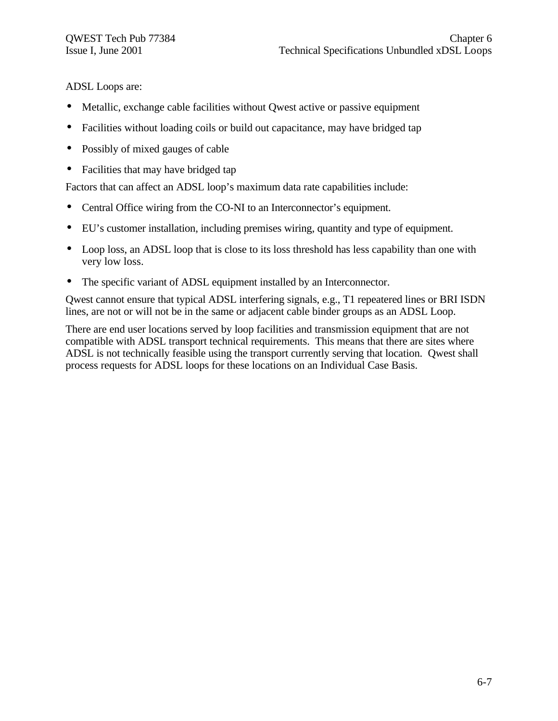ADSL Loops are:

- Metallic, exchange cable facilities without Owest active or passive equipment
- Facilities without loading coils or build out capacitance, may have bridged tap
- Possibly of mixed gauges of cable
- Facilities that may have bridged tap

Factors that can affect an ADSL loop's maximum data rate capabilities include:

- Central Office wiring from the CO-NI to an Interconnector's equipment.
- EU's customer installation, including premises wiring, quantity and type of equipment.
- Loop loss, an ADSL loop that is close to its loss threshold has less capability than one with very low loss.
- The specific variant of ADSL equipment installed by an Interconnector.

Qwest cannot ensure that typical ADSL interfering signals, e.g., T1 repeatered lines or BRI ISDN lines, are not or will not be in the same or adjacent cable binder groups as an ADSL Loop.

There are end user locations served by loop facilities and transmission equipment that are not compatible with ADSL transport technical requirements. This means that there are sites where ADSL is not technically feasible using the transport currently serving that location. Qwest shall process requests for ADSL loops for these locations on an Individual Case Basis.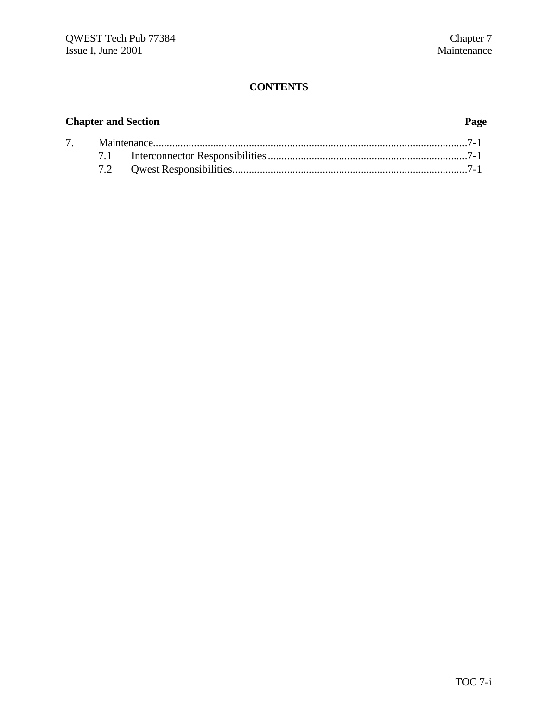# **CONTENTS**

# **Chapter and Section Page**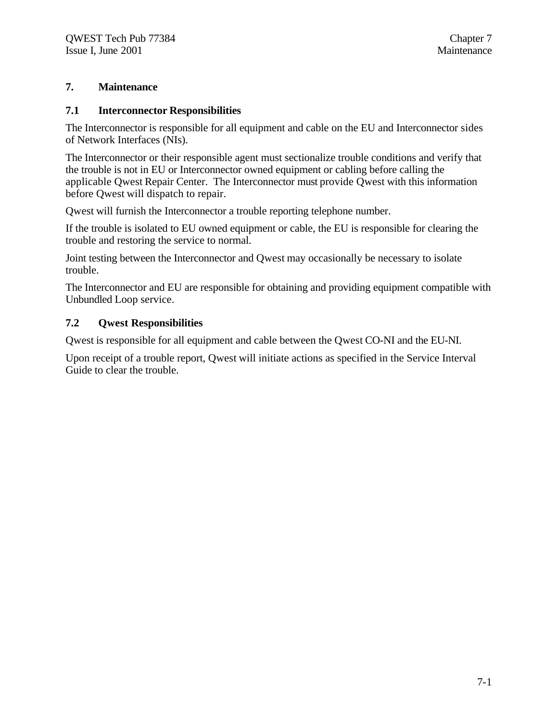#### **7. Maintenance**

#### **7.1 Interconnector Responsibilities**

The Interconnector is responsible for all equipment and cable on the EU and Interconnector sides of Network Interfaces (NIs).

The Interconnector or their responsible agent must sectionalize trouble conditions and verify that the trouble is not in EU or Interconnector owned equipment or cabling before calling the applicable Qwest Repair Center. The Interconnector must provide Qwest with this information before Qwest will dispatch to repair.

Qwest will furnish the Interconnector a trouble reporting telephone number.

If the trouble is isolated to EU owned equipment or cable, the EU is responsible for clearing the trouble and restoring the service to normal.

Joint testing between the Interconnector and Qwest may occasionally be necessary to isolate trouble.

The Interconnector and EU are responsible for obtaining and providing equipment compatible with Unbundled Loop service.

#### **7.2 Qwest Responsibilities**

Qwest is responsible for all equipment and cable between the Qwest CO-NI and the EU-NI.

Upon receipt of a trouble report, Qwest will initiate actions as specified in the Service Interval Guide to clear the trouble.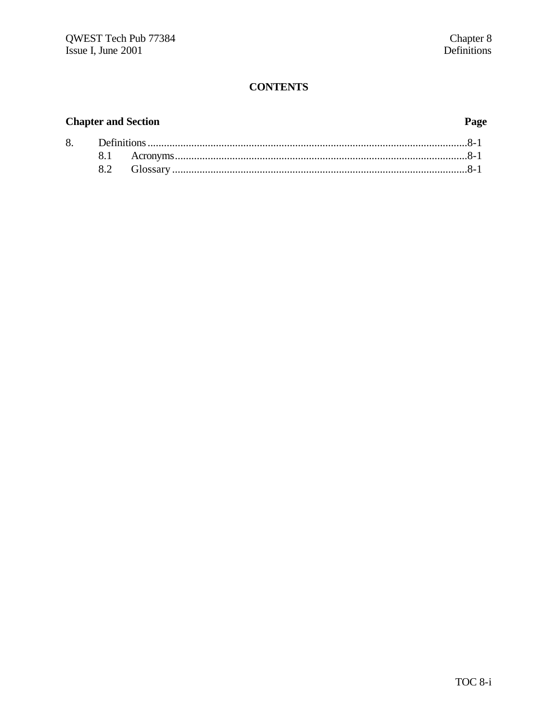# **CONTENTS**

# **Chapter and Section**

# Page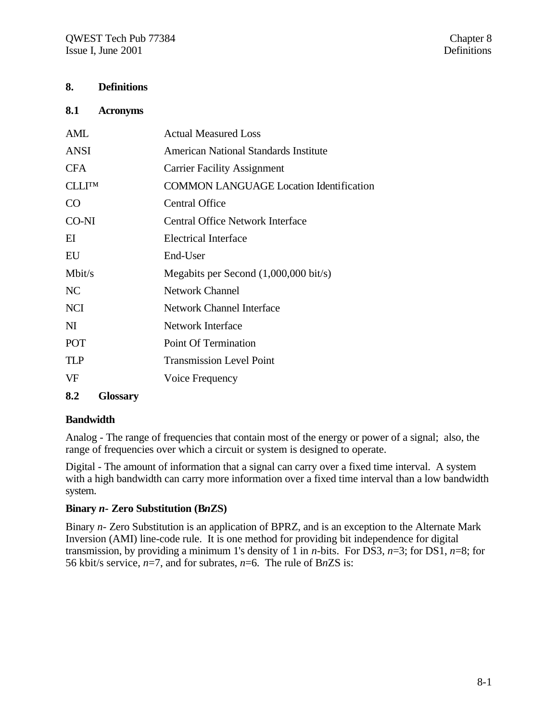#### **8. Definitions**

#### **8.1 Acronyms**

| AML           | <b>Actual Measured Loss</b>                     |
|---------------|-------------------------------------------------|
| ANSI          | American National Standards Institute           |
| <b>CFA</b>    | <b>Carrier Facility Assignment</b>              |
| <b>CLLITM</b> | <b>COMMON LANGUAGE Location Identification</b>  |
| CO            | <b>Central Office</b>                           |
| CO-NI         | Central Office Network Interface                |
| EI            | <b>Electrical Interface</b>                     |
| EU            | End-User                                        |
| Mbit/s        | Megabits per Second $(1,000,000 \text{ bit/s})$ |
| NC            | <b>Network Channel</b>                          |
| <b>NCI</b>    | <b>Network Channel Interface</b>                |
| NI            | <b>Network Interface</b>                        |
| <b>POT</b>    | Point Of Termination                            |
| <b>TLP</b>    | <b>Transmission Level Point</b>                 |
| VF            | Voice Frequency                                 |
|               |                                                 |

#### **8.2 Glossary**

#### **Bandwidth**

Analog - The range of frequencies that contain most of the energy or power of a signal; also, the range of frequencies over which a circuit or system is designed to operate.

Digital - The amount of information that a signal can carry over a fixed time interval. A system with a high bandwidth can carry more information over a fixed time interval than a low bandwidth system.

#### **Binary** *n-* **Zero Substitution (B***n***ZS)**

Binary *n-* Zero Substitution is an application of BPRZ, and is an exception to the Alternate Mark Inversion (AMI) line-code rule. It is one method for providing bit independence for digital transmission, by providing a minimum 1's density of 1 in *n*-bits. For DS3, *n*=3; for DS1, *n*=8; for 56 kbit/s service, *n*=7, and for subrates, *n*=6. The rule of B*n*ZS is: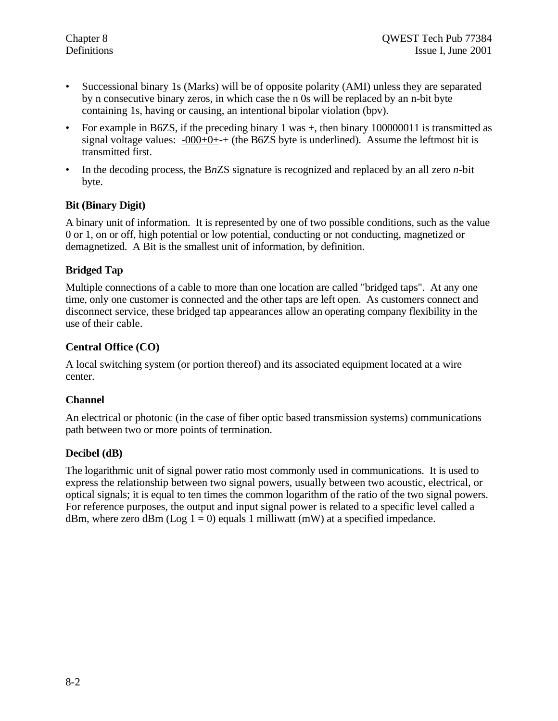- Successional binary 1s (Marks) will be of opposite polarity (AMI) unless they are separated by n consecutive binary zeros, in which case the n 0s will be replaced by an n-bit byte containing 1s, having or causing, an intentional bipolar violation (bpv).
- For example in B6ZS, if the preceding binary 1 was  $+$ , then binary 100000011 is transmitted as signal voltage values:  $-000+0++$  (the B6ZS byte is underlined). Assume the leftmost bit is transmitted first.
- In the decoding process, the B*n*ZS signature is recognized and replaced by an all zero *n*-bit byte.

#### **Bit (Binary Digit)**

A binary unit of information. It is represented by one of two possible conditions, such as the value 0 or 1, on or off, high potential or low potential, conducting or not conducting, magnetized or demagnetized. A Bit is the smallest unit of information, by definition.

#### **Bridged Tap**

Multiple connections of a cable to more than one location are called "bridged taps". At any one time, only one customer is connected and the other taps are left open. As customers connect and disconnect service, these bridged tap appearances allow an operating company flexibility in the use of their cable.

#### **Central Office (CO)**

A local switching system (or portion thereof) and its associated equipment located at a wire center.

#### **Channel**

An electrical or photonic (in the case of fiber optic based transmission systems) communications path between two or more points of termination.

#### **Decibel (dB)**

The logarithmic unit of signal power ratio most commonly used in communications. It is used to express the relationship between two signal powers, usually between two acoustic, electrical, or optical signals; it is equal to ten times the common logarithm of the ratio of the two signal powers. For reference purposes, the output and input signal power is related to a specific level called a dBm, where zero dBm ( $Log 1 = 0$ ) equals 1 milliwatt (mW) at a specified impedance.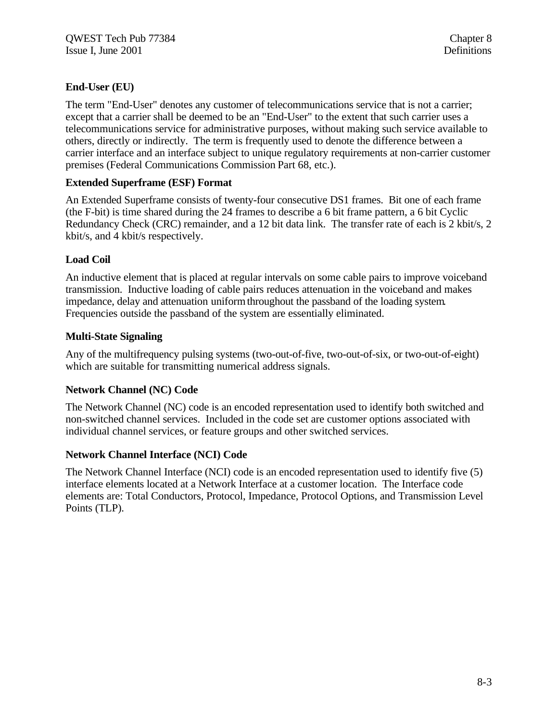#### **End-User (EU)**

The term "End-User" denotes any customer of telecommunications service that is not a carrier; except that a carrier shall be deemed to be an "End-User" to the extent that such carrier uses a telecommunications service for administrative purposes, without making such service available to others, directly or indirectly. The term is frequently used to denote the difference between a carrier interface and an interface subject to unique regulatory requirements at non-carrier customer premises (Federal Communications Commission Part 68, etc.).

#### **Extended Superframe (ESF) Format**

An Extended Superframe consists of twenty-four consecutive DS1 frames. Bit one of each frame (the F-bit) is time shared during the 24 frames to describe a 6 bit frame pattern, a 6 bit Cyclic Redundancy Check (CRC) remainder, and a 12 bit data link. The transfer rate of each is 2 kbit/s, 2 kbit/s, and 4 kbit/s respectively.

#### **Load Coil**

An inductive element that is placed at regular intervals on some cable pairs to improve voiceband transmission. Inductive loading of cable pairs reduces attenuation in the voiceband and makes impedance, delay and attenuation uniform throughout the passband of the loading system. Frequencies outside the passband of the system are essentially eliminated.

#### **Multi-State Signaling**

Any of the multifrequency pulsing systems (two-out-of-five, two-out-of-six, or two-out-of-eight) which are suitable for transmitting numerical address signals.

#### **Network Channel (NC) Code**

The Network Channel (NC) code is an encoded representation used to identify both switched and non-switched channel services. Included in the code set are customer options associated with individual channel services, or feature groups and other switched services.

#### **Network Channel Interface (NCI) Code**

The Network Channel Interface (NCI) code is an encoded representation used to identify five (5) interface elements located at a Network Interface at a customer location. The Interface code elements are: Total Conductors, Protocol, Impedance, Protocol Options, and Transmission Level Points (TLP).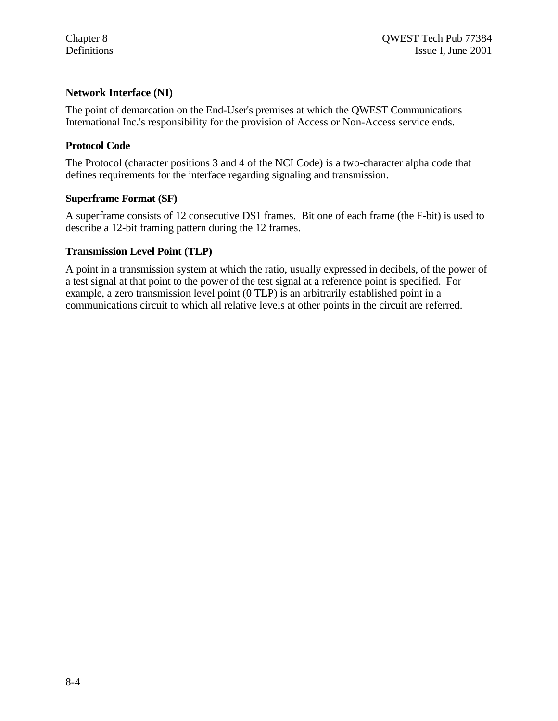#### **Network Interface (NI)**

The point of demarcation on the End-User's premises at which the QWEST Communications International Inc.'s responsibility for the provision of Access or Non-Access service ends.

#### **Protocol Code**

The Protocol (character positions 3 and 4 of the NCI Code) is a two-character alpha code that defines requirements for the interface regarding signaling and transmission.

#### **Superframe Format (SF)**

A superframe consists of 12 consecutive DS1 frames. Bit one of each frame (the F-bit) is used to describe a 12-bit framing pattern during the 12 frames.

#### **Transmission Level Point (TLP)**

A point in a transmission system at which the ratio, usually expressed in decibels, of the power of a test signal at that point to the power of the test signal at a reference point is specified. For example, a zero transmission level point (0 TLP) is an arbitrarily established point in a communications circuit to which all relative levels at other points in the circuit are referred.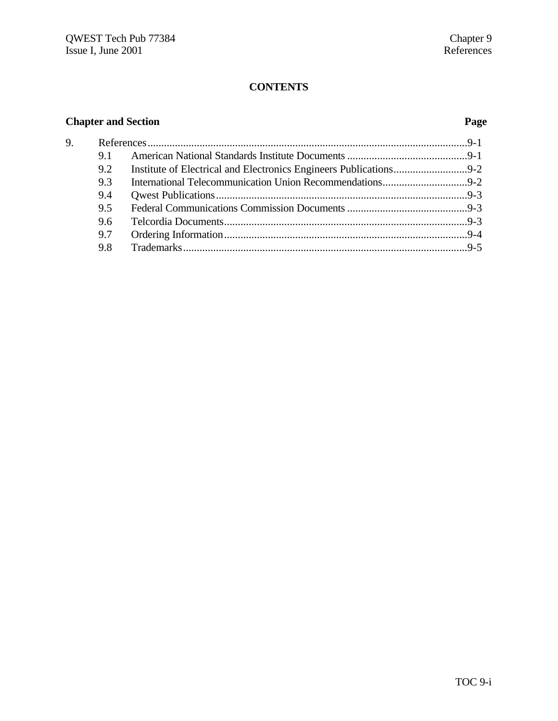# **CONTENTS**

# **Chapter and Section Page**

| 9. |     |  |  |
|----|-----|--|--|
|    | 9.1 |  |  |
|    | 9.2 |  |  |
|    | 9.3 |  |  |
|    | 9.4 |  |  |
|    | 9.5 |  |  |
|    | 9.6 |  |  |
|    | 9.7 |  |  |
|    | 9.8 |  |  |
|    |     |  |  |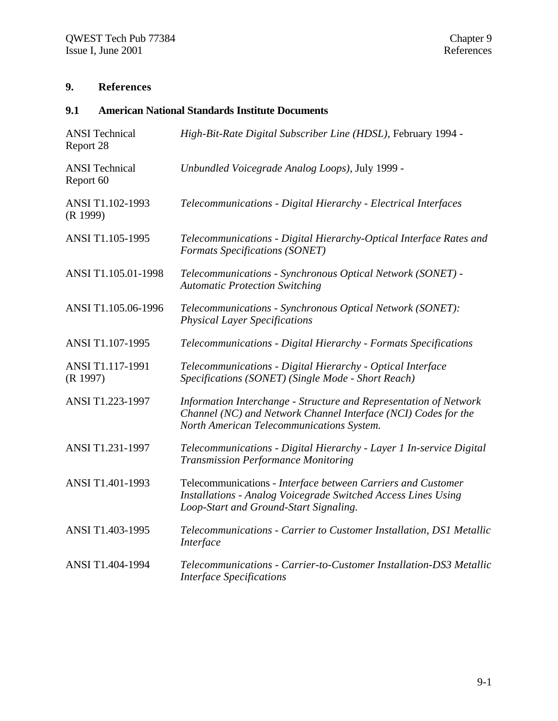# **9. References**

# **9.1 American National Standards Institute Documents**

| <b>ANSI</b> Technical<br>Report 28 | High-Bit-Rate Digital Subscriber Line (HDSL), February 1994 -                                                                                                                    |
|------------------------------------|----------------------------------------------------------------------------------------------------------------------------------------------------------------------------------|
| <b>ANSI</b> Technical<br>Report 60 | Unbundled Voicegrade Analog Loops), July 1999 -                                                                                                                                  |
| ANSI T1.102-1993<br>(R 1999)       | Telecommunications - Digital Hierarchy - Electrical Interfaces                                                                                                                   |
| ANSI T1.105-1995                   | Telecommunications - Digital Hierarchy-Optical Interface Rates and<br>Formats Specifications (SONET)                                                                             |
| ANSI T1.105.01-1998                | Telecommunications - Synchronous Optical Network (SONET) -<br><b>Automatic Protection Switching</b>                                                                              |
| ANSI T1.105.06-1996                | Telecommunications - Synchronous Optical Network (SONET):<br><b>Physical Layer Specifications</b>                                                                                |
| ANSI T1.107-1995                   | Telecommunications - Digital Hierarchy - Formats Specifications                                                                                                                  |
| ANSI T1.117-1991<br>(R 1997)       | Telecommunications - Digital Hierarchy - Optical Interface<br>Specifications (SONET) (Single Mode - Short Reach)                                                                 |
| ANSI T1.223-1997                   | Information Interchange - Structure and Representation of Network<br>Channel (NC) and Network Channel Interface (NCI) Codes for the<br>North American Telecommunications System. |
| ANSI T1.231-1997                   | Telecommunications - Digital Hierarchy - Layer 1 In-service Digital<br><b>Transmission Performance Monitoring</b>                                                                |
| ANSI T1.401-1993                   | Telecommunications - Interface between Carriers and Customer<br>Installations - Analog Voicegrade Switched Access Lines Using<br>Loop-Start and Ground-Start Signaling.          |
| ANSI T1.403-1995                   | Telecommunications - Carrier to Customer Installation, DS1 Metallic<br>Interface                                                                                                 |
| ANSI T1.404-1994                   | Telecommunications - Carrier-to-Customer Installation-DS3 Metallic<br><b>Interface Specifications</b>                                                                            |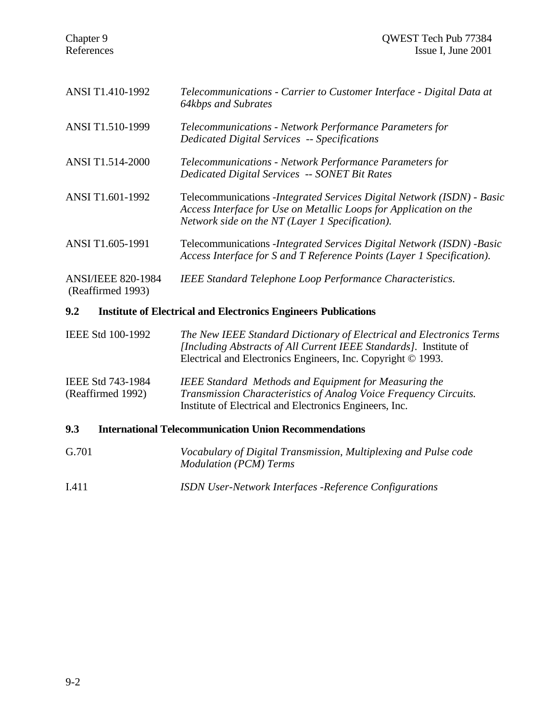| <b>ANSI/IEEE 820-1984</b><br>(Reaffirmed 1993) | <b>IEEE Standard Telephone Loop Performance Characteristics.</b>                                                                                                                                |
|------------------------------------------------|-------------------------------------------------------------------------------------------------------------------------------------------------------------------------------------------------|
| ANSI T1.605-1991                               | Telecommunications - Integrated Services Digital Network (ISDN) - Basic<br>Access Interface for S and T Reference Points (Layer 1 Specification).                                               |
| ANSI T1.601-1992                               | Telecommunications - Integrated Services Digital Network (ISDN) - Basic<br>Access Interface for Use on Metallic Loops for Application on the<br>Network side on the NT (Layer 1 Specification). |
| <b>ANSI T1.514-2000</b>                        | Telecommunications - Network Performance Parameters for<br>Dedicated Digital Services -- SONET Bit Rates                                                                                        |
| ANSI T1.510-1999                               | Telecommunications - Network Performance Parameters for<br><b>Dedicated Digital Services -- Specifications</b>                                                                                  |
| ANSI T1.410-1992                               | Telecommunications - Carrier to Customer Interface - Digital Data at<br>64kbps and Subrates                                                                                                     |
|                                                |                                                                                                                                                                                                 |

### IEEE Std 100-1992 *The New IEEE Standard Dictionary of Electrical and Electronics Terms [Including Abstracts of All Current IEEE Standards].* Institute of Electrical and Electronics Engineers, Inc. Copyright © 1993.

IEEE Std 743-1984 *IEEE Standard Methods and Equipment for Measuring the* (Reaffirmed 1992) *Transmission Characteristics of Analog Voice Frequency Circuits.* Institute of Electrical and Electronics Engineers, Inc.

#### **9.3 International Telecommunication Union Recommendations**

| G.701 | Vocabulary of Digital Transmission, Multiplexing and Pulse code<br><b>Modulation (PCM) Terms</b> |
|-------|--------------------------------------------------------------------------------------------------|
| I.411 | <b>ISDN User-Network Interfaces -Reference Configurations</b>                                    |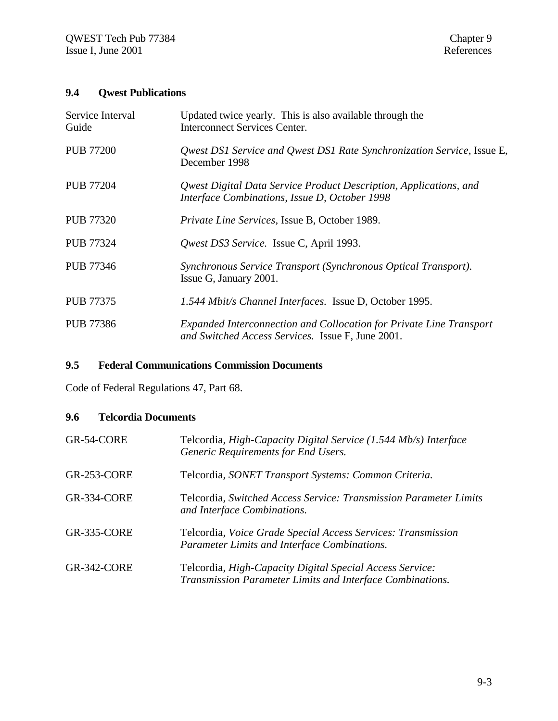# **9.4 Qwest Publications**

| Service Interval<br>Guide | Updated twice yearly. This is also available through the<br><b>Interconnect Services Center.</b>                         |
|---------------------------|--------------------------------------------------------------------------------------------------------------------------|
| <b>PUB 77200</b>          | Qwest DS1 Service and Qwest DS1 Rate Synchronization Service, Issue E,<br>December 1998                                  |
| <b>PUB 77204</b>          | Qwest Digital Data Service Product Description, Applications, and<br>Interface Combinations, Issue D, October 1998       |
| <b>PUB 77320</b>          | <i>Private Line Services, Issue B, October 1989.</i>                                                                     |
| <b>PUB 77324</b>          | Qwest DS3 Service. Issue C, April 1993.                                                                                  |
| <b>PUB 77346</b>          | Synchronous Service Transport (Synchronous Optical Transport).<br>Issue G, January 2001.                                 |
| <b>PUB 77375</b>          | 1.544 Mbit/s Channel Interfaces. Issue D, October 1995.                                                                  |
| <b>PUB 77386</b>          | Expanded Interconnection and Collocation for Private Line Transport<br>and Switched Access Services. Issue F, June 2001. |

### **9.5 Federal Communications Commission Documents**

Code of Federal Regulations 47, Part 68.

#### **9.6 Telcordia Documents**

| GR-54-CORE         | Telcordia, High-Capacity Digital Service (1.544 Mb/s) Interface<br>Generic Requirements for End Users.                |
|--------------------|-----------------------------------------------------------------------------------------------------------------------|
| <b>GR-253-CORE</b> | Telcordia, SONET Transport Systems: Common Criteria.                                                                  |
| GR-334-CORE        | Telcordia, Switched Access Service: Transmission Parameter Limits<br>and Interface Combinations.                      |
| <b>GR-335-CORE</b> | Telcordia, Voice Grade Special Access Services: Transmission<br>Parameter Limits and Interface Combinations.          |
| <b>GR-342-CORE</b> | Telcordia, High-Capacity Digital Special Access Service:<br>Transmission Parameter Limits and Interface Combinations. |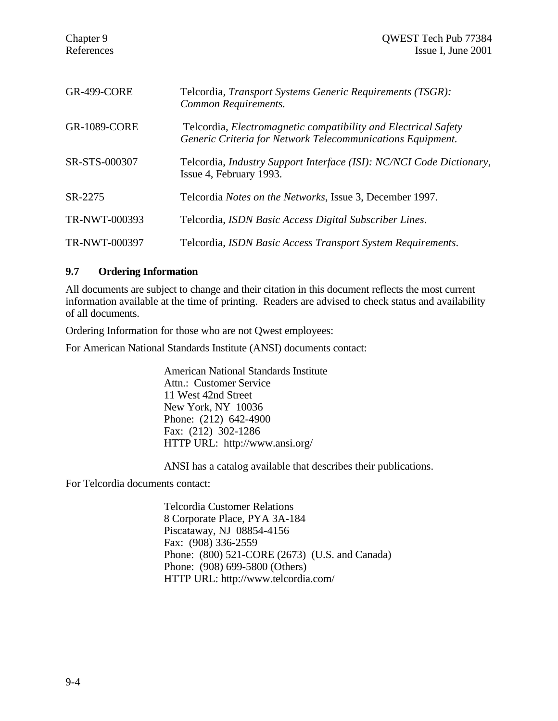| <b>GR-499-CORE</b>  | Telcordia, Transport Systems Generic Requirements (TSGR):<br>Common Requirements.                                                   |
|---------------------|-------------------------------------------------------------------------------------------------------------------------------------|
| <b>GR-1089-CORE</b> | Telcordia, <i>Electromagnetic compatibility and Electrical Safety</i><br>Generic Criteria for Network Telecommunications Equipment. |
| SR-STS-000307       | Telcordia, Industry Support Interface (ISI): NC/NCI Code Dictionary,<br>Issue 4, February 1993.                                     |
| SR-2275             | Telcordia <i>Notes on the Networks</i> , Issue 3, December 1997.                                                                    |
| TR-NWT-000393       | Telcordia, ISDN Basic Access Digital Subscriber Lines.                                                                              |
| TR-NWT-000397       | Telcordia, ISDN Basic Access Transport System Requirements.                                                                         |

#### **9.7 Ordering Information**

All documents are subject to change and their citation in this document reflects the most current information available at the time of printing. Readers are advised to check status and availability of all documents.

Ordering Information for those who are not Qwest employees:

For American National Standards Institute (ANSI) documents contact:

American National Standards Institute Attn.: Customer Service 11 West 42nd Street New York, NY 10036 Phone: (212) 642-4900 Fax: (212) 302-1286 HTTP URL: http://www.ansi.org/

ANSI has a catalog available that describes their publications.

For Telcordia documents contact:

Telcordia Customer Relations 8 Corporate Place, PYA 3A-184 Piscataway, NJ 08854-4156 Fax: (908) 336-2559 Phone: (800) 521-CORE (2673) (U.S. and Canada) Phone: (908) 699-5800 (Others) HTTP URL: http://www.telcordia.com/